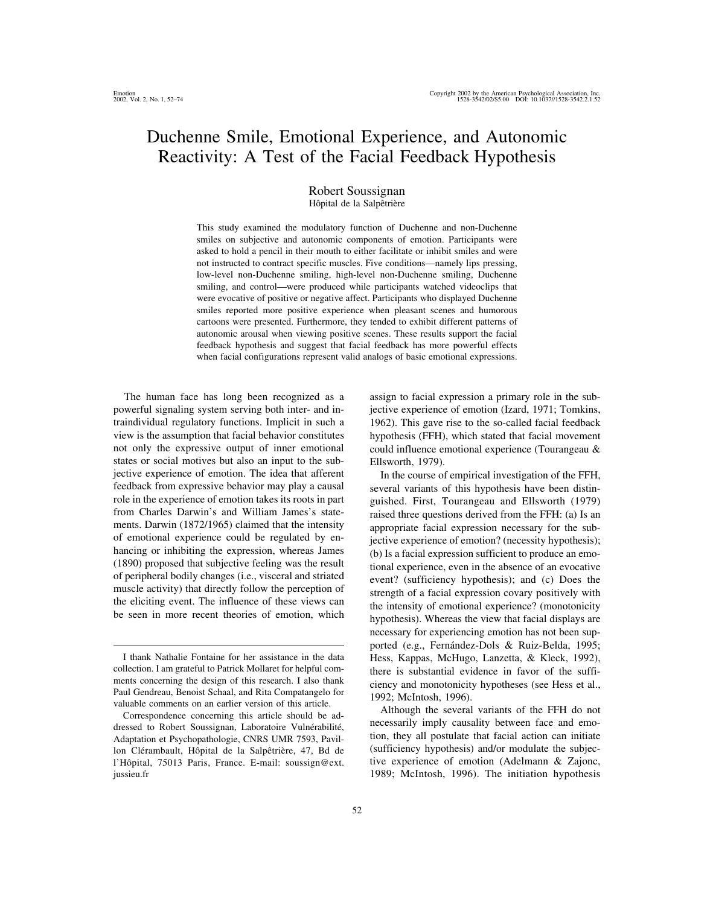# Duchenne Smile, Emotional Experience, and Autonomic Reactivity: A Test of the Facial Feedback Hypothesis

## Robert Soussignan Hôpital de la Salpêtrière

This study examined the modulatory function of Duchenne and non-Duchenne smiles on subjective and autonomic components of emotion. Participants were asked to hold a pencil in their mouth to either facilitate or inhibit smiles and were not instructed to contract specific muscles. Five conditions—namely lips pressing, low-level non-Duchenne smiling, high-level non-Duchenne smiling, Duchenne smiling, and control—were produced while participants watched videoclips that were evocative of positive or negative affect. Participants who displayed Duchenne smiles reported more positive experience when pleasant scenes and humorous cartoons were presented. Furthermore, they tended to exhibit different patterns of autonomic arousal when viewing positive scenes. These results support the facial feedback hypothesis and suggest that facial feedback has more powerful effects when facial configurations represent valid analogs of basic emotional expressions.

The human face has long been recognized as a powerful signaling system serving both inter- and intraindividual regulatory functions. Implicit in such a view is the assumption that facial behavior constitutes not only the expressive output of inner emotional states or social motives but also an input to the subjective experience of emotion. The idea that afferent feedback from expressive behavior may play a causal role in the experience of emotion takes its roots in part from Charles Darwin's and William James's statements. Darwin (1872/1965) claimed that the intensity of emotional experience could be regulated by enhancing or inhibiting the expression, whereas James (1890) proposed that subjective feeling was the result of peripheral bodily changes (i.e., visceral and striated muscle activity) that directly follow the perception of the eliciting event. The influence of these views can be seen in more recent theories of emotion, which

assign to facial expression a primary role in the subjective experience of emotion (Izard, 1971; Tomkins, 1962). This gave rise to the so-called facial feedback hypothesis (FFH), which stated that facial movement could influence emotional experience (Tourangeau & Ellsworth, 1979).

In the course of empirical investigation of the FFH, several variants of this hypothesis have been distinguished. First, Tourangeau and Ellsworth (1979) raised three questions derived from the FFH: (a) Is an appropriate facial expression necessary for the subjective experience of emotion? (necessity hypothesis); (b) Is a facial expression sufficient to produce an emotional experience, even in the absence of an evocative event? (sufficiency hypothesis); and (c) Does the strength of a facial expression covary positively with the intensity of emotional experience? (monotonicity hypothesis). Whereas the view that facial displays are necessary for experiencing emotion has not been supported (e.g., Fernández-Dols & Ruiz-Belda, 1995; Hess, Kappas, McHugo, Lanzetta, & Kleck, 1992), there is substantial evidence in favor of the sufficiency and monotonicity hypotheses (see Hess et al., 1992; McIntosh, 1996).

Although the several variants of the FFH do not necessarily imply causality between face and emotion, they all postulate that facial action can initiate (sufficiency hypothesis) and/or modulate the subjective experience of emotion (Adelmann & Zajonc, 1989; McIntosh, 1996). The initiation hypothesis

I thank Nathalie Fontaine for her assistance in the data collection. I am grateful to Patrick Mollaret for helpful comments concerning the design of this research. I also thank Paul Gendreau, Benoist Schaal, and Rita Compatangelo for valuable comments on an earlier version of this article.

Correspondence concerning this article should be addressed to Robert Soussignan, Laboratoire Vulnérabilité, Adaptation et Psychopathologie, CNRS UMR 7593, Pavillon Clérambault, Hôpital de la Salpêtrière, 47, Bd de l'Hôpital, 75013 Paris, France. E-mail: soussign@ext. jussieu.fr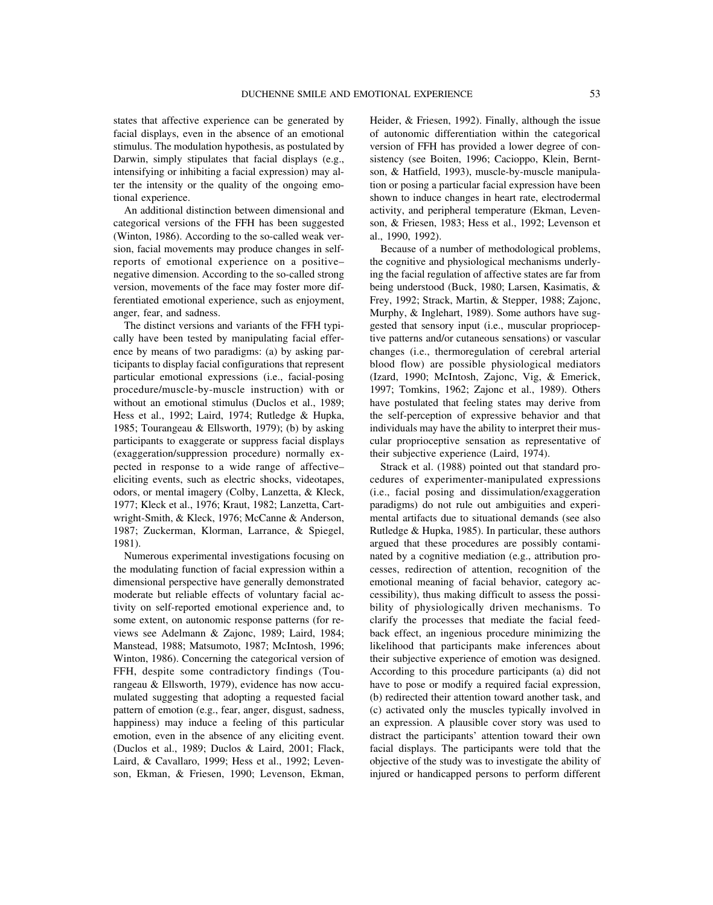states that affective experience can be generated by facial displays, even in the absence of an emotional stimulus. The modulation hypothesis, as postulated by Darwin, simply stipulates that facial displays (e.g., intensifying or inhibiting a facial expression) may alter the intensity or the quality of the ongoing emotional experience.

An additional distinction between dimensional and categorical versions of the FFH has been suggested (Winton, 1986). According to the so-called weak version, facial movements may produce changes in selfreports of emotional experience on a positive– negative dimension. According to the so-called strong version, movements of the face may foster more differentiated emotional experience, such as enjoyment, anger, fear, and sadness.

The distinct versions and variants of the FFH typically have been tested by manipulating facial efference by means of two paradigms: (a) by asking participants to display facial configurations that represent particular emotional expressions (i.e., facial-posing procedure/muscle-by-muscle instruction) with or without an emotional stimulus (Duclos et al., 1989; Hess et al., 1992; Laird, 1974; Rutledge & Hupka, 1985; Tourangeau & Ellsworth, 1979); (b) by asking participants to exaggerate or suppress facial displays (exaggeration/suppression procedure) normally expected in response to a wide range of affective– eliciting events, such as electric shocks, videotapes, odors, or mental imagery (Colby, Lanzetta, & Kleck, 1977; Kleck et al., 1976; Kraut, 1982; Lanzetta, Cartwright-Smith, & Kleck, 1976; McCanne & Anderson, 1987; Zuckerman, Klorman, Larrance, & Spiegel, 1981).

Numerous experimental investigations focusing on the modulating function of facial expression within a dimensional perspective have generally demonstrated moderate but reliable effects of voluntary facial activity on self-reported emotional experience and, to some extent, on autonomic response patterns (for reviews see Adelmann & Zajonc, 1989; Laird, 1984; Manstead, 1988; Matsumoto, 1987; McIntosh, 1996; Winton, 1986). Concerning the categorical version of FFH, despite some contradictory findings (Tourangeau & Ellsworth, 1979), evidence has now accumulated suggesting that adopting a requested facial pattern of emotion (e.g., fear, anger, disgust, sadness, happiness) may induce a feeling of this particular emotion, even in the absence of any eliciting event. (Duclos et al., 1989; Duclos & Laird, 2001; Flack, Laird, & Cavallaro, 1999; Hess et al., 1992; Levenson, Ekman, & Friesen, 1990; Levenson, Ekman,

Heider, & Friesen, 1992). Finally, although the issue of autonomic differentiation within the categorical version of FFH has provided a lower degree of consistency (see Boiten, 1996; Cacioppo, Klein, Berntson, & Hatfield, 1993), muscle-by-muscle manipulation or posing a particular facial expression have been shown to induce changes in heart rate, electrodermal activity, and peripheral temperature (Ekman, Levenson, & Friesen, 1983; Hess et al., 1992; Levenson et al., 1990, 1992).

Because of a number of methodological problems, the cognitive and physiological mechanisms underlying the facial regulation of affective states are far from being understood (Buck, 1980; Larsen, Kasimatis, & Frey, 1992; Strack, Martin, & Stepper, 1988; Zajonc, Murphy, & Inglehart, 1989). Some authors have suggested that sensory input (i.e., muscular proprioceptive patterns and/or cutaneous sensations) or vascular changes (i.e., thermoregulation of cerebral arterial blood flow) are possible physiological mediators (Izard, 1990; McIntosh, Zajonc, Vig, & Emerick, 1997; Tomkins, 1962; Zajonc et al., 1989). Others have postulated that feeling states may derive from the self-perception of expressive behavior and that individuals may have the ability to interpret their muscular proprioceptive sensation as representative of their subjective experience (Laird, 1974).

Strack et al. (1988) pointed out that standard procedures of experimenter-manipulated expressions (i.e., facial posing and dissimulation/exaggeration paradigms) do not rule out ambiguities and experimental artifacts due to situational demands (see also Rutledge & Hupka, 1985). In particular, these authors argued that these procedures are possibly contaminated by a cognitive mediation (e.g., attribution processes, redirection of attention, recognition of the emotional meaning of facial behavior, category accessibility), thus making difficult to assess the possibility of physiologically driven mechanisms. To clarify the processes that mediate the facial feedback effect, an ingenious procedure minimizing the likelihood that participants make inferences about their subjective experience of emotion was designed. According to this procedure participants (a) did not have to pose or modify a required facial expression, (b) redirected their attention toward another task, and (c) activated only the muscles typically involved in an expression. A plausible cover story was used to distract the participants' attention toward their own facial displays. The participants were told that the objective of the study was to investigate the ability of injured or handicapped persons to perform different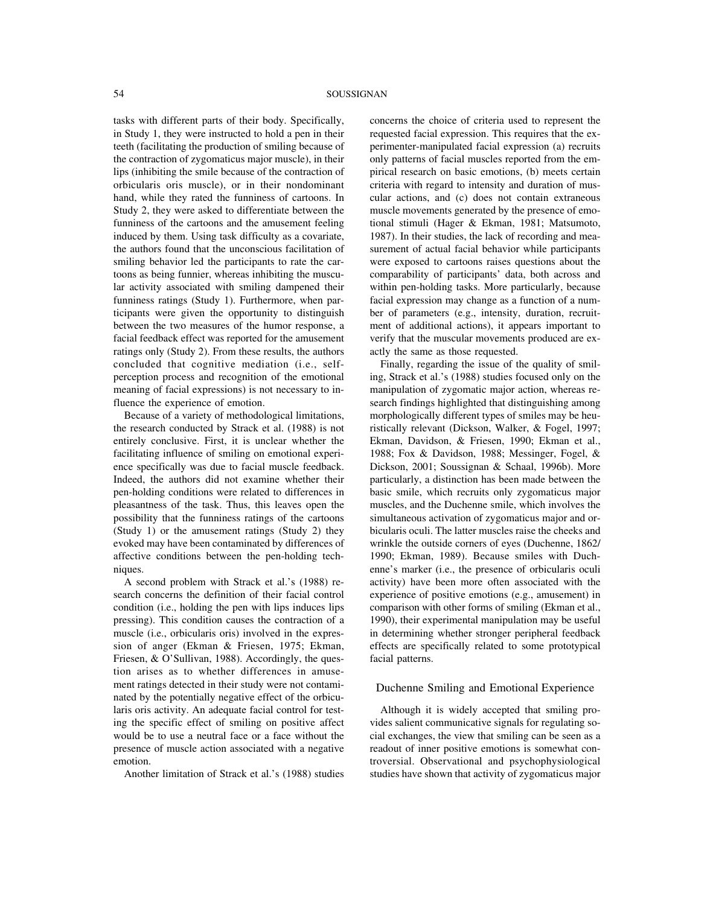tasks with different parts of their body. Specifically, in Study 1, they were instructed to hold a pen in their teeth (facilitating the production of smiling because of the contraction of zygomaticus major muscle), in their lips (inhibiting the smile because of the contraction of orbicularis oris muscle), or in their nondominant hand, while they rated the funniness of cartoons. In Study 2, they were asked to differentiate between the funniness of the cartoons and the amusement feeling induced by them. Using task difficulty as a covariate, the authors found that the unconscious facilitation of smiling behavior led the participants to rate the cartoons as being funnier, whereas inhibiting the muscular activity associated with smiling dampened their funniness ratings (Study 1). Furthermore, when participants were given the opportunity to distinguish between the two measures of the humor response, a facial feedback effect was reported for the amusement ratings only (Study 2). From these results, the authors concluded that cognitive mediation (i.e., selfperception process and recognition of the emotional meaning of facial expressions) is not necessary to influence the experience of emotion.

Because of a variety of methodological limitations, the research conducted by Strack et al. (1988) is not entirely conclusive. First, it is unclear whether the facilitating influence of smiling on emotional experience specifically was due to facial muscle feedback. Indeed, the authors did not examine whether their pen-holding conditions were related to differences in pleasantness of the task. Thus, this leaves open the possibility that the funniness ratings of the cartoons (Study 1) or the amusement ratings (Study 2) they evoked may have been contaminated by differences of affective conditions between the pen-holding techniques.

A second problem with Strack et al.'s (1988) research concerns the definition of their facial control condition (i.e., holding the pen with lips induces lips pressing). This condition causes the contraction of a muscle (i.e., orbicularis oris) involved in the expression of anger (Ekman & Friesen, 1975; Ekman, Friesen, & O'Sullivan, 1988). Accordingly, the question arises as to whether differences in amusement ratings detected in their study were not contaminated by the potentially negative effect of the orbicularis oris activity. An adequate facial control for testing the specific effect of smiling on positive affect would be to use a neutral face or a face without the presence of muscle action associated with a negative emotion.

Another limitation of Strack et al.'s (1988) studies

concerns the choice of criteria used to represent the requested facial expression. This requires that the experimenter-manipulated facial expression (a) recruits only patterns of facial muscles reported from the empirical research on basic emotions, (b) meets certain criteria with regard to intensity and duration of muscular actions, and (c) does not contain extraneous muscle movements generated by the presence of emotional stimuli (Hager & Ekman, 1981; Matsumoto, 1987). In their studies, the lack of recording and measurement of actual facial behavior while participants were exposed to cartoons raises questions about the comparability of participants' data, both across and within pen-holding tasks. More particularly, because facial expression may change as a function of a number of parameters (e.g., intensity, duration, recruitment of additional actions), it appears important to verify that the muscular movements produced are exactly the same as those requested.

Finally, regarding the issue of the quality of smiling, Strack et al.'s (1988) studies focused only on the manipulation of zygomatic major action, whereas research findings highlighted that distinguishing among morphologically different types of smiles may be heuristically relevant (Dickson, Walker, & Fogel, 1997; Ekman, Davidson, & Friesen, 1990; Ekman et al., 1988; Fox & Davidson, 1988; Messinger, Fogel, & Dickson, 2001; Soussignan & Schaal, 1996b). More particularly, a distinction has been made between the basic smile, which recruits only zygomaticus major muscles, and the Duchenne smile, which involves the simultaneous activation of zygomaticus major and orbicularis oculi. The latter muscles raise the cheeks and wrinkle the outside corners of eyes (Duchenne, 1862/ 1990; Ekman, 1989). Because smiles with Duchenne's marker (i.e., the presence of orbicularis oculi activity) have been more often associated with the experience of positive emotions (e.g., amusement) in comparison with other forms of smiling (Ekman et al., 1990), their experimental manipulation may be useful in determining whether stronger peripheral feedback effects are specifically related to some prototypical facial patterns.

# Duchenne Smiling and Emotional Experience

Although it is widely accepted that smiling provides salient communicative signals for regulating social exchanges, the view that smiling can be seen as a readout of inner positive emotions is somewhat controversial. Observational and psychophysiological studies have shown that activity of zygomaticus major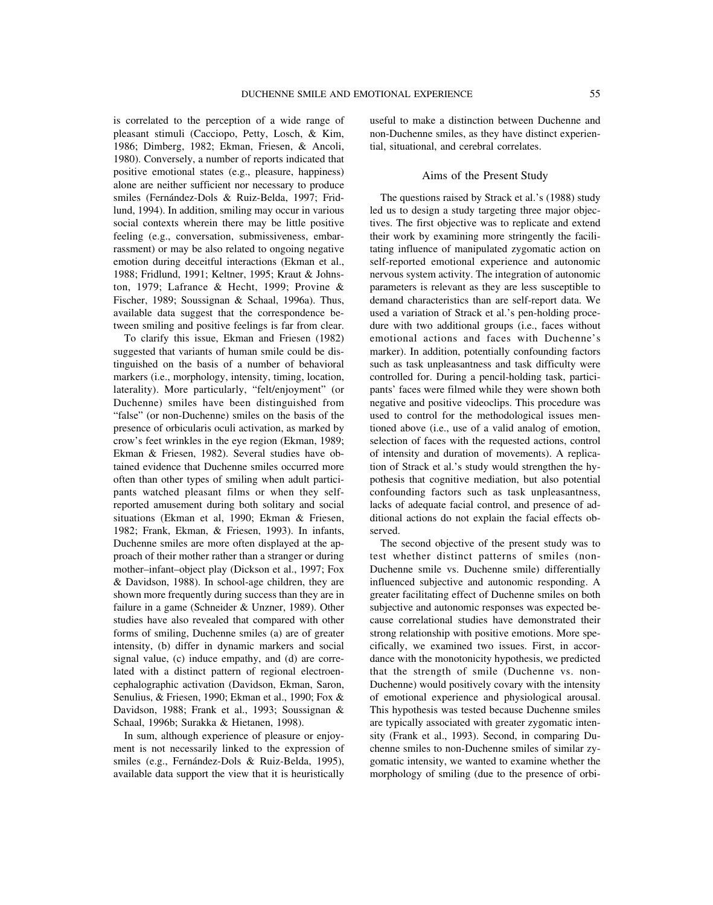is correlated to the perception of a wide range of pleasant stimuli (Cacciopo, Petty, Losch, & Kim, 1986; Dimberg, 1982; Ekman, Friesen, & Ancoli, 1980). Conversely, a number of reports indicated that positive emotional states (e.g., pleasure, happiness) alone are neither sufficient nor necessary to produce smiles (Fernández-Dols & Ruiz-Belda, 1997; Fridlund, 1994). In addition, smiling may occur in various social contexts wherein there may be little positive feeling (e.g., conversation, submissiveness, embarrassment) or may be also related to ongoing negative emotion during deceitful interactions (Ekman et al., 1988; Fridlund, 1991; Keltner, 1995; Kraut & Johnston, 1979; Lafrance & Hecht, 1999; Provine & Fischer, 1989; Soussignan & Schaal, 1996a). Thus, available data suggest that the correspondence between smiling and positive feelings is far from clear.

To clarify this issue, Ekman and Friesen (1982) suggested that variants of human smile could be distinguished on the basis of a number of behavioral markers (i.e., morphology, intensity, timing, location, laterality). More particularly, "felt/enjoyment" (or Duchenne) smiles have been distinguished from "false" (or non-Duchenne) smiles on the basis of the presence of orbicularis oculi activation, as marked by crow's feet wrinkles in the eye region (Ekman, 1989; Ekman & Friesen, 1982). Several studies have obtained evidence that Duchenne smiles occurred more often than other types of smiling when adult participants watched pleasant films or when they selfreported amusement during both solitary and social situations (Ekman et al, 1990; Ekman & Friesen, 1982; Frank, Ekman, & Friesen, 1993). In infants, Duchenne smiles are more often displayed at the approach of their mother rather than a stranger or during mother–infant–object play (Dickson et al., 1997; Fox & Davidson, 1988). In school-age children, they are shown more frequently during success than they are in failure in a game (Schneider & Unzner, 1989). Other studies have also revealed that compared with other forms of smiling, Duchenne smiles (a) are of greater intensity, (b) differ in dynamic markers and social signal value, (c) induce empathy, and (d) are correlated with a distinct pattern of regional electroencephalographic activation (Davidson, Ekman, Saron, Senulius, & Friesen, 1990; Ekman et al., 1990; Fox & Davidson, 1988; Frank et al., 1993; Soussignan & Schaal, 1996b; Surakka & Hietanen, 1998).

In sum, although experience of pleasure or enjoyment is not necessarily linked to the expression of smiles (e.g., Fernández-Dols & Ruiz-Belda, 1995), available data support the view that it is heuristically useful to make a distinction between Duchenne and non-Duchenne smiles, as they have distinct experiential, situational, and cerebral correlates.

#### Aims of the Present Study

The questions raised by Strack et al.'s (1988) study led us to design a study targeting three major objectives. The first objective was to replicate and extend their work by examining more stringently the facilitating influence of manipulated zygomatic action on self-reported emotional experience and autonomic nervous system activity. The integration of autonomic parameters is relevant as they are less susceptible to demand characteristics than are self-report data. We used a variation of Strack et al.'s pen-holding procedure with two additional groups (i.e., faces without emotional actions and faces with Duchenne's marker). In addition, potentially confounding factors such as task unpleasantness and task difficulty were controlled for. During a pencil-holding task, participants' faces were filmed while they were shown both negative and positive videoclips. This procedure was used to control for the methodological issues mentioned above (i.e., use of a valid analog of emotion, selection of faces with the requested actions, control of intensity and duration of movements). A replication of Strack et al.'s study would strengthen the hypothesis that cognitive mediation, but also potential confounding factors such as task unpleasantness, lacks of adequate facial control, and presence of additional actions do not explain the facial effects observed.

The second objective of the present study was to test whether distinct patterns of smiles (non-Duchenne smile vs. Duchenne smile) differentially influenced subjective and autonomic responding. A greater facilitating effect of Duchenne smiles on both subjective and autonomic responses was expected because correlational studies have demonstrated their strong relationship with positive emotions. More specifically, we examined two issues. First, in accordance with the monotonicity hypothesis, we predicted that the strength of smile (Duchenne vs. non-Duchenne) would positively covary with the intensity of emotional experience and physiological arousal. This hypothesis was tested because Duchenne smiles are typically associated with greater zygomatic intensity (Frank et al., 1993). Second, in comparing Duchenne smiles to non-Duchenne smiles of similar zygomatic intensity, we wanted to examine whether the morphology of smiling (due to the presence of orbi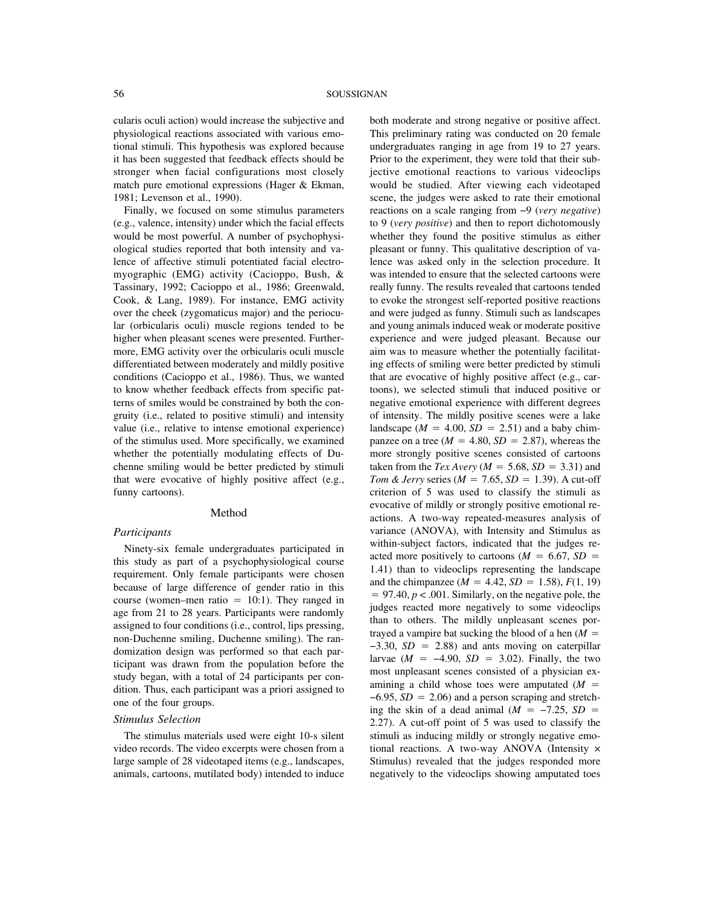cularis oculi action) would increase the subjective and physiological reactions associated with various emotional stimuli. This hypothesis was explored because it has been suggested that feedback effects should be stronger when facial configurations most closely match pure emotional expressions (Hager & Ekman, 1981; Levenson et al., 1990).

Finally, we focused on some stimulus parameters (e.g., valence, intensity) under which the facial effects would be most powerful. A number of psychophysiological studies reported that both intensity and valence of affective stimuli potentiated facial electromyographic (EMG) activity (Cacioppo, Bush, & Tassinary, 1992; Cacioppo et al., 1986; Greenwald, Cook, & Lang, 1989). For instance, EMG activity over the cheek (zygomaticus major) and the periocular (orbicularis oculi) muscle regions tended to be higher when pleasant scenes were presented. Furthermore, EMG activity over the orbicularis oculi muscle differentiated between moderately and mildly positive conditions (Cacioppo et al., 1986). Thus, we wanted to know whether feedback effects from specific patterns of smiles would be constrained by both the congruity (i.e., related to positive stimuli) and intensity value (i.e., relative to intense emotional experience) of the stimulus used. More specifically, we examined whether the potentially modulating effects of Duchenne smiling would be better predicted by stimuli that were evocative of highly positive affect (e.g., funny cartoons).

#### Method

#### *Participants*

Ninety-six female undergraduates participated in this study as part of a psychophysiological course requirement. Only female participants were chosen because of large difference of gender ratio in this course (women–men ratio  $= 10:1$ ). They ranged in age from 21 to 28 years. Participants were randomly assigned to four conditions (i.e., control, lips pressing, non-Duchenne smiling, Duchenne smiling). The randomization design was performed so that each participant was drawn from the population before the study began, with a total of 24 participants per condition. Thus, each participant was a priori assigned to one of the four groups.

#### *Stimulus Selection*

The stimulus materials used were eight 10-s silent video records. The video excerpts were chosen from a large sample of 28 videotaped items (e.g., landscapes, animals, cartoons, mutilated body) intended to induce

both moderate and strong negative or positive affect. This preliminary rating was conducted on 20 female undergraduates ranging in age from 19 to 27 years. Prior to the experiment, they were told that their subjective emotional reactions to various videoclips would be studied. After viewing each videotaped scene, the judges were asked to rate their emotional reactions on a scale ranging from −9 (*very negative*) to 9 (*very positive*) and then to report dichotomously whether they found the positive stimulus as either pleasant or funny. This qualitative description of valence was asked only in the selection procedure. It was intended to ensure that the selected cartoons were really funny. The results revealed that cartoons tended to evoke the strongest self-reported positive reactions and were judged as funny. Stimuli such as landscapes and young animals induced weak or moderate positive experience and were judged pleasant. Because our aim was to measure whether the potentially facilitating effects of smiling were better predicted by stimuli that are evocative of highly positive affect (e.g., cartoons), we selected stimuli that induced positive or negative emotional experience with different degrees of intensity. The mildly positive scenes were a lake landscape ( $M = 4.00$ ,  $SD = 2.51$ ) and a baby chimpanzee on a tree ( $M = 4.80$ ,  $SD = 2.87$ ), whereas the more strongly positive scenes consisted of cartoons taken from the *Tex Avery* ( $M = 5.68$ ,  $SD = 3.31$ ) and *Tom & Jerry* series ( $M = 7.65$ ,  $SD = 1.39$ ). A cut-off criterion of 5 was used to classify the stimuli as evocative of mildly or strongly positive emotional reactions. A two-way repeated-measures analysis of variance (ANOVA), with Intensity and Stimulus as within-subject factors, indicated that the judges reacted more positively to cartoons  $(M = 6.67, SD =$ 1.41) than to videoclips representing the landscape and the chimpanzee ( $M = 4.42$ ,  $SD = 1.58$ ),  $F(1, 19)$  $= 97.40, p < .001$ . Similarly, on the negative pole, the judges reacted more negatively to some videoclips than to others. The mildly unpleasant scenes portrayed a vampire bat sucking the blood of a hen  $(M =$  $-3.30$ ,  $SD = 2.88$ ) and ants moving on caterpillar larvae ( $M = -4.90$ ,  $SD = 3.02$ ). Finally, the two most unpleasant scenes consisted of a physician examining a child whose toes were amputated (*M*  $-6.95$ ,  $SD = 2.06$ ) and a person scraping and stretching the skin of a dead animal  $(M = -7.25, SD =$ 2.27). A cut-off point of 5 was used to classify the stimuli as inducing mildly or strongly negative emotional reactions. A two-way ANOVA (Intensity × Stimulus) revealed that the judges responded more negatively to the videoclips showing amputated toes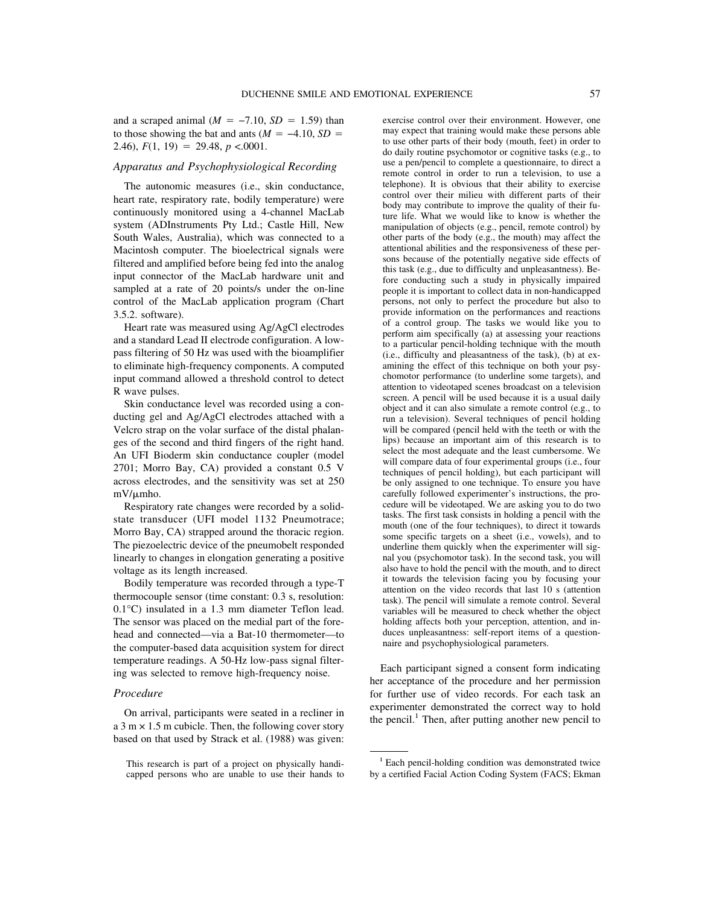and a scraped animal  $(M = -7.10, SD = 1.59)$  than to those showing the bat and ants  $(M = -4.10, SD =$ 2.46),  $F(1, 19) = 29.48$ ,  $p < .0001$ .

## *Apparatus and Psychophysiological Recording*

The autonomic measures (i.e., skin conductance, heart rate, respiratory rate, bodily temperature) were continuously monitored using a 4-channel MacLab system (ADInstruments Pty Ltd.; Castle Hill, New South Wales, Australia), which was connected to a Macintosh computer. The bioelectrical signals were filtered and amplified before being fed into the analog input connector of the MacLab hardware unit and sampled at a rate of 20 points/s under the on-line control of the MacLab application program (Chart 3.5.2. software).

Heart rate was measured using Ag/AgCl electrodes and a standard Lead II electrode configuration. A lowpass filtering of 50 Hz was used with the bioamplifier to eliminate high-frequency components. A computed input command allowed a threshold control to detect R wave pulses.

Skin conductance level was recorded using a conducting gel and Ag/AgCl electrodes attached with a Velcro strap on the volar surface of the distal phalanges of the second and third fingers of the right hand. An UFI Bioderm skin conductance coupler (model 2701; Morro Bay, CA) provided a constant 0.5 V across electrodes, and the sensitivity was set at 250 mV/ $\mu$ mho.

Respiratory rate changes were recorded by a solidstate transducer (UFI model 1132 Pneumotrace; Morro Bay, CA) strapped around the thoracic region. The piezoelectric device of the pneumobelt responded linearly to changes in elongation generating a positive voltage as its length increased.

Bodily temperature was recorded through a type-T thermocouple sensor (time constant: 0.3 s, resolution: 0.1°C) insulated in a 1.3 mm diameter Teflon lead. The sensor was placed on the medial part of the forehead and connected—via a Bat-10 thermometer—to the computer-based data acquisition system for direct temperature readings. A 50-Hz low-pass signal filtering was selected to remove high-frequency noise.

#### *Procedure*

On arrival, participants were seated in a recliner in a 3 m  $\times$  1.5 m cubicle. Then, the following cover story based on that used by Strack et al. (1988) was given: exercise control over their environment. However, one may expect that training would make these persons able to use other parts of their body (mouth, feet) in order to do daily routine psychomotor or cognitive tasks (e.g., to use a pen/pencil to complete a questionnaire, to direct a remote control in order to run a television, to use a telephone). It is obvious that their ability to exercise control over their milieu with different parts of their body may contribute to improve the quality of their future life. What we would like to know is whether the manipulation of objects (e.g., pencil, remote control) by other parts of the body (e.g., the mouth) may affect the attentional abilities and the responsiveness of these persons because of the potentially negative side effects of this task (e.g., due to difficulty and unpleasantness). Before conducting such a study in physically impaired people it is important to collect data in non-handicapped persons, not only to perfect the procedure but also to provide information on the performances and reactions of a control group. The tasks we would like you to perform aim specifically (a) at assessing your reactions to a particular pencil-holding technique with the mouth (i.e., difficulty and pleasantness of the task), (b) at examining the effect of this technique on both your psychomotor performance (to underline some targets), and attention to videotaped scenes broadcast on a television screen. A pencil will be used because it is a usual daily object and it can also simulate a remote control (e.g., to run a television). Several techniques of pencil holding will be compared (pencil held with the teeth or with the lips) because an important aim of this research is to select the most adequate and the least cumbersome. We will compare data of four experimental groups (i.e., four techniques of pencil holding), but each participant will be only assigned to one technique. To ensure you have carefully followed experimenter's instructions, the procedure will be videotaped. We are asking you to do two tasks. The first task consists in holding a pencil with the mouth (one of the four techniques), to direct it towards some specific targets on a sheet (i.e., vowels), and to underline them quickly when the experimenter will signal you (psychomotor task). In the second task, you will also have to hold the pencil with the mouth, and to direct it towards the television facing you by focusing your attention on the video records that last 10 s (attention task). The pencil will simulate a remote control. Several variables will be measured to check whether the object holding affects both your perception, attention, and induces unpleasantness: self-report items of a questionnaire and psychophysiological parameters.

Each participant signed a consent form indicating her acceptance of the procedure and her permission for further use of video records. For each task an experimenter demonstrated the correct way to hold the pencil.<sup>1</sup> Then, after putting another new pencil to

This research is part of a project on physically handicapped persons who are unable to use their hands to

<sup>&</sup>lt;sup>1</sup> Each pencil-holding condition was demonstrated twice by a certified Facial Action Coding System (FACS; Ekman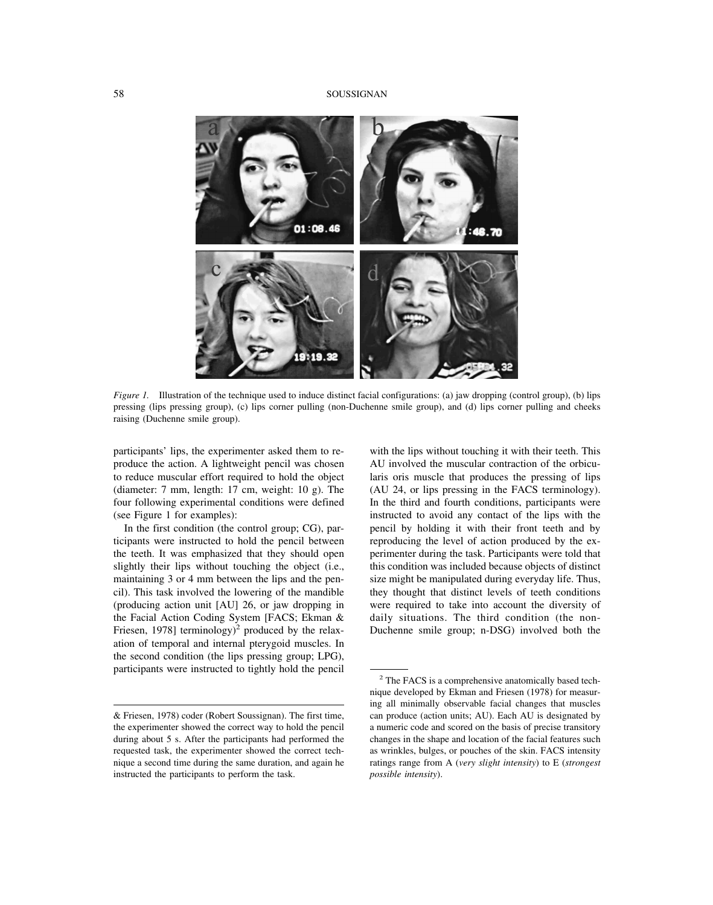

*Figure 1.* Illustration of the technique used to induce distinct facial configurations: (a) jaw dropping (control group), (b) lips pressing (lips pressing group), (c) lips corner pulling (non-Duchenne smile group), and (d) lips corner pulling and cheeks raising (Duchenne smile group).

participants' lips, the experimenter asked them to reproduce the action. A lightweight pencil was chosen to reduce muscular effort required to hold the object (diameter: 7 mm, length: 17 cm, weight: 10 g). The four following experimental conditions were defined (see Figure 1 for examples):

In the first condition (the control group; CG), participants were instructed to hold the pencil between the teeth. It was emphasized that they should open slightly their lips without touching the object (i.e., maintaining 3 or 4 mm between the lips and the pencil). This task involved the lowering of the mandible (producing action unit [AU] 26, or jaw dropping in the Facial Action Coding System [FACS; Ekman & Friesen, 1978] terminology)<sup>2</sup> produced by the relaxation of temporal and internal pterygoid muscles. In the second condition (the lips pressing group; LPG), participants were instructed to tightly hold the pencil

with the lips without touching it with their teeth. This AU involved the muscular contraction of the orbicularis oris muscle that produces the pressing of lips (AU 24, or lips pressing in the FACS terminology). In the third and fourth conditions, participants were instructed to avoid any contact of the lips with the pencil by holding it with their front teeth and by reproducing the level of action produced by the experimenter during the task. Participants were told that this condition was included because objects of distinct size might be manipulated during everyday life. Thus, they thought that distinct levels of teeth conditions were required to take into account the diversity of daily situations. The third condition (the non-Duchenne smile group; n-DSG) involved both the

<sup>&</sup>amp; Friesen, 1978) coder (Robert Soussignan). The first time, the experimenter showed the correct way to hold the pencil during about 5 s. After the participants had performed the requested task, the experimenter showed the correct technique a second time during the same duration, and again he instructed the participants to perform the task.

<sup>&</sup>lt;sup>2</sup> The FACS is a comprehensive anatomically based technique developed by Ekman and Friesen (1978) for measuring all minimally observable facial changes that muscles can produce (action units; AU). Each AU is designated by a numeric code and scored on the basis of precise transitory changes in the shape and location of the facial features such as wrinkles, bulges, or pouches of the skin. FACS intensity ratings range from A (*very slight intensity*) to E (*strongest possible intensity*).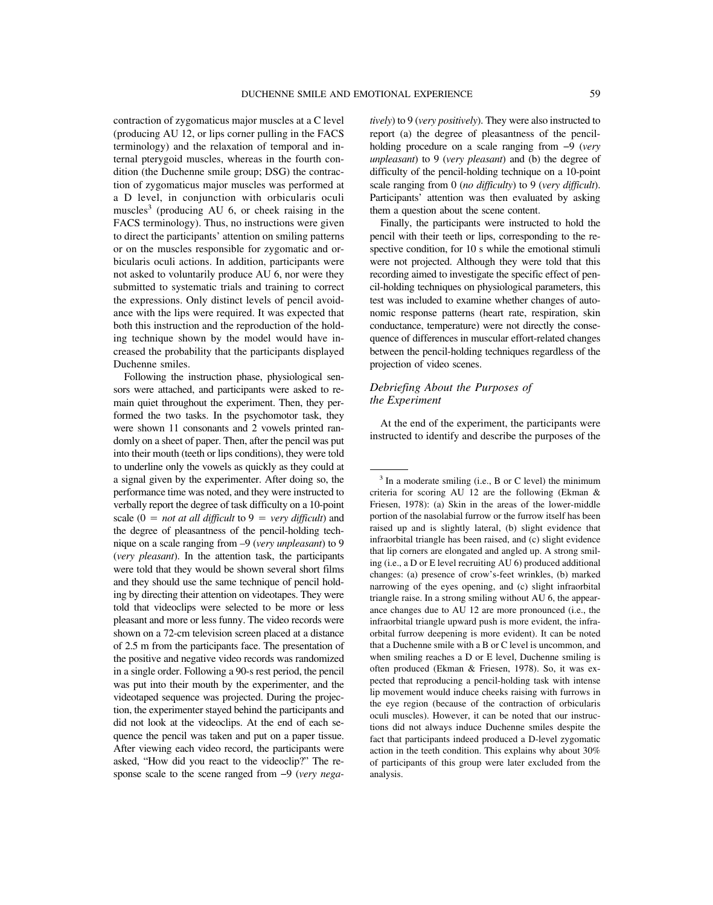contraction of zygomaticus major muscles at a C level (producing AU 12, or lips corner pulling in the FACS terminology) and the relaxation of temporal and internal pterygoid muscles, whereas in the fourth condition (the Duchenne smile group; DSG) the contraction of zygomaticus major muscles was performed at a D level, in conjunction with orbicularis oculi muscles<sup>3</sup> (producing AU 6, or cheek raising in the FACS terminology). Thus, no instructions were given to direct the participants' attention on smiling patterns or on the muscles responsible for zygomatic and orbicularis oculi actions. In addition, participants were not asked to voluntarily produce AU 6, nor were they submitted to systematic trials and training to correct the expressions. Only distinct levels of pencil avoidance with the lips were required. It was expected that both this instruction and the reproduction of the holding technique shown by the model would have increased the probability that the participants displayed Duchenne smiles.

Following the instruction phase, physiological sensors were attached, and participants were asked to remain quiet throughout the experiment. Then, they performed the two tasks. In the psychomotor task, they were shown 11 consonants and 2 vowels printed randomly on a sheet of paper. Then, after the pencil was put into their mouth (teeth or lips conditions), they were told to underline only the vowels as quickly as they could at a signal given by the experimenter. After doing so, the performance time was noted, and they were instructed to verbally report the degree of task difficulty on a 10-point scale  $(0 = not at all difficult to 9 = very difficult)$  and the degree of pleasantness of the pencil-holding technique on a scale ranging from –9 (*very unpleasant*) to 9 (*very pleasant*). In the attention task, the participants were told that they would be shown several short films and they should use the same technique of pencil holding by directing their attention on videotapes. They were told that videoclips were selected to be more or less pleasant and more or less funny. The video records were shown on a 72-cm television screen placed at a distance of 2.5 m from the participants face. The presentation of the positive and negative video records was randomized in a single order. Following a 90-s rest period, the pencil was put into their mouth by the experimenter, and the videotaped sequence was projected. During the projection, the experimenter stayed behind the participants and did not look at the videoclips. At the end of each sequence the pencil was taken and put on a paper tissue. After viewing each video record, the participants were asked, "How did you react to the videoclip?" The response scale to the scene ranged from −9 (*very nega-* *tively*) to 9 (*very positively*). They were also instructed to report (a) the degree of pleasantness of the pencilholding procedure on a scale ranging from −9 (*very unpleasant*) to 9 (*very pleasant*) and (b) the degree of difficulty of the pencil-holding technique on a 10-point scale ranging from 0 (*no difficulty*) to 9 (*very difficult*). Participants' attention was then evaluated by asking them a question about the scene content.

Finally, the participants were instructed to hold the pencil with their teeth or lips, corresponding to the respective condition, for 10 s while the emotional stimuli were not projected. Although they were told that this recording aimed to investigate the specific effect of pencil-holding techniques on physiological parameters, this test was included to examine whether changes of autonomic response patterns (heart rate, respiration, skin conductance, temperature) were not directly the consequence of differences in muscular effort-related changes between the pencil-holding techniques regardless of the projection of video scenes.

# *Debriefing About the Purposes of the Experiment*

At the end of the experiment, the participants were instructed to identify and describe the purposes of the

 $3$  In a moderate smiling (i.e., B or C level) the minimum criteria for scoring AU 12 are the following (Ekman & Friesen, 1978): (a) Skin in the areas of the lower-middle portion of the nasolabial furrow or the furrow itself has been raised up and is slightly lateral, (b) slight evidence that infraorbital triangle has been raised, and (c) slight evidence that lip corners are elongated and angled up. A strong smiling (i.e., a D or E level recruiting AU 6) produced additional changes: (a) presence of crow's-feet wrinkles, (b) marked narrowing of the eyes opening, and (c) slight infraorbital triangle raise. In a strong smiling without AU 6, the appearance changes due to AU 12 are more pronounced (i.e., the infraorbital triangle upward push is more evident, the infraorbital furrow deepening is more evident). It can be noted that a Duchenne smile with a B or C level is uncommon, and when smiling reaches a D or E level, Duchenne smiling is often produced (Ekman & Friesen, 1978). So, it was expected that reproducing a pencil-holding task with intense lip movement would induce cheeks raising with furrows in the eye region (because of the contraction of orbicularis oculi muscles). However, it can be noted that our instructions did not always induce Duchenne smiles despite the fact that participants indeed produced a D-level zygomatic action in the teeth condition. This explains why about 30% of participants of this group were later excluded from the analysis.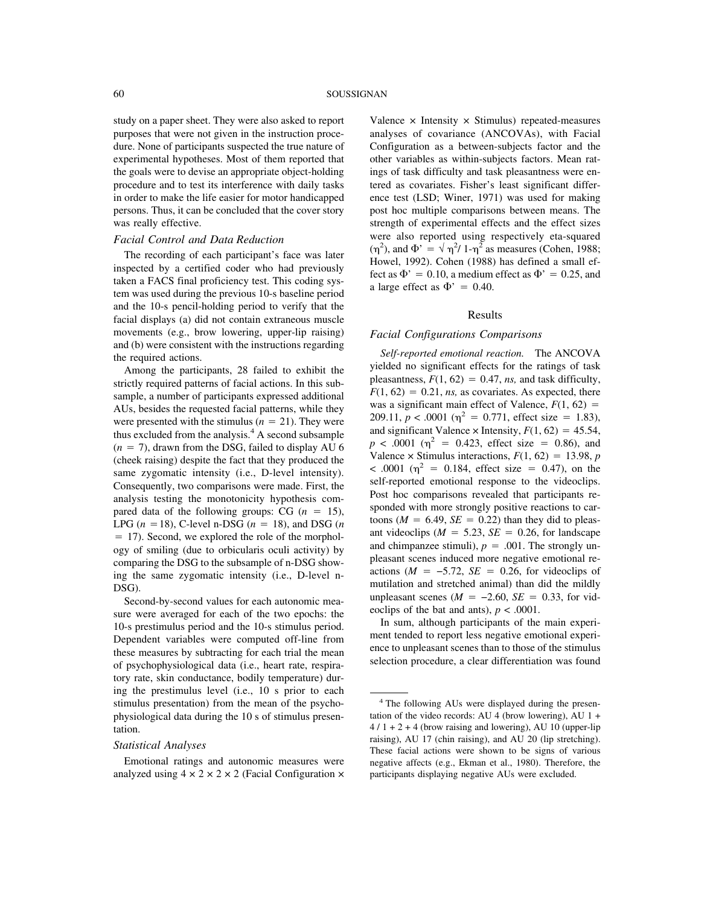study on a paper sheet. They were also asked to report purposes that were not given in the instruction procedure. None of participants suspected the true nature of experimental hypotheses. Most of them reported that the goals were to devise an appropriate object-holding procedure and to test its interference with daily tasks in order to make the life easier for motor handicapped persons. Thus, it can be concluded that the cover story was really effective.

#### *Facial Control and Data Reduction*

The recording of each participant's face was later inspected by a certified coder who had previously taken a FACS final proficiency test. This coding system was used during the previous 10-s baseline period and the 10-s pencil-holding period to verify that the facial displays (a) did not contain extraneous muscle movements (e.g., brow lowering, upper-lip raising) and (b) were consistent with the instructions regarding the required actions.

Among the participants, 28 failed to exhibit the strictly required patterns of facial actions. In this subsample, a number of participants expressed additional AUs, besides the requested facial patterns, while they were presented with the stimulus ( $n = 21$ ). They were thus excluded from the analysis. $4$  A second subsample  $(n = 7)$ , drawn from the DSG, failed to display AU 6 (cheek raising) despite the fact that they produced the same zygomatic intensity (i.e., D-level intensity). Consequently, two comparisons were made. First, the analysis testing the monotonicity hypothesis compared data of the following groups: CG  $(n = 15)$ , LPG  $(n = 18)$ , C-level n-DSG  $(n = 18)$ , and DSG  $(n = 18)$  $= 17$ ). Second, we explored the role of the morphology of smiling (due to orbicularis oculi activity) by comparing the DSG to the subsample of n-DSG showing the same zygomatic intensity (i.e., D-level n-DSG).

Second-by-second values for each autonomic measure were averaged for each of the two epochs: the 10-s prestimulus period and the 10-s stimulus period. Dependent variables were computed off-line from these measures by subtracting for each trial the mean of psychophysiological data (i.e., heart rate, respiratory rate, skin conductance, bodily temperature) during the prestimulus level (i.e., 10 s prior to each stimulus presentation) from the mean of the psychophysiological data during the 10 s of stimulus presentation.

#### *Statistical Analyses*

Emotional ratings and autonomic measures were analyzed using  $4 \times 2 \times 2 \times 2$  (Facial Configuration  $\times$  Valence  $\times$  Intensity  $\times$  Stimulus) repeated-measures analyses of covariance (ANCOVAs), with Facial Configuration as a between-subjects factor and the other variables as within-subjects factors. Mean ratings of task difficulty and task pleasantness were entered as covariates. Fisher's least significant difference test (LSD; Winer, 1971) was used for making post hoc multiple comparisons between means. The strength of experimental effects and the effect sizes were also reported using respectively eta-squared  $(\eta^2)$ , and  $\Phi' = \sqrt{\eta^2/1-\eta^2}$  as measures (Cohen, 1988; Howel, 1992). Cohen (1988) has defined a small effect as  $\Phi' = 0.10$ , a medium effect as  $\Phi' = 0.25$ , and a large effect as  $\Phi' = 0.40$ .

#### Results

## *Facial Configurations Comparisons*

*Self-reported emotional reaction.* The ANCOVA yielded no significant effects for the ratings of task pleasantness,  $F(1, 62) = 0.47$ , *ns*, and task difficulty,  $F(1, 62) = 0.21$ , *ns*, as covariates. As expected, there was a significant main effect of Valence,  $F(1, 62)$  = 209.11,  $p < .0001$  ( $\eta^2 = 0.771$ , effect size = 1.83), and significant Valence  $\times$  Intensity,  $F(1, 62) = 45.54$ ,  $p < .0001$  ( $\eta^2 = 0.423$ , effect size = 0.86), and Valence  $\times$  Stimulus interactions,  $F(1, 62) = 13.98$ , *p*  $< .0001$  ( $\eta^2 = 0.184$ , effect size = 0.47), on the self-reported emotional response to the videoclips. Post hoc comparisons revealed that participants responded with more strongly positive reactions to cartoons ( $M = 6.49$ ,  $SE = 0.22$ ) than they did to pleasant videoclips  $(M = 5.23, SE = 0.26, for landscape)$ and chimpanzee stimuli),  $p = .001$ . The strongly unpleasant scenes induced more negative emotional reactions ( $M = -5.72$ ,  $SE = 0.26$ , for videoclips of mutilation and stretched animal) than did the mildly unpleasant scenes ( $M = -2.60$ ,  $SE = 0.33$ , for videoclips of the bat and ants),  $p < .0001$ .

In sum, although participants of the main experiment tended to report less negative emotional experience to unpleasant scenes than to those of the stimulus selection procedure, a clear differentiation was found

<sup>4</sup> The following AUs were displayed during the presentation of the video records: AU 4 (brow lowering), AU 1 +  $4/1+2+4$  (brow raising and lowering), AU 10 (upper-lip raising), AU 17 (chin raising), and AU 20 (lip stretching). These facial actions were shown to be signs of various negative affects (e.g., Ekman et al., 1980). Therefore, the participants displaying negative AUs were excluded.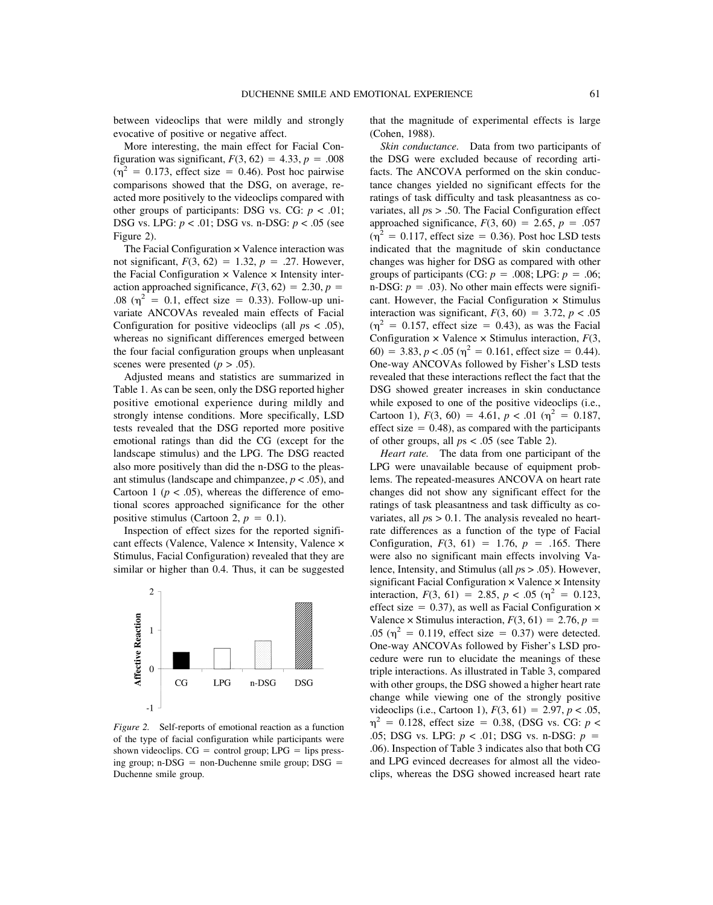between videoclips that were mildly and strongly evocative of positive or negative affect.

More interesting, the main effect for Facial Configuration was significant,  $F(3, 62) = 4.33$ ,  $p = .008$  $(\eta^2 = 0.173,$  effect size = 0.46). Post hoc pairwise comparisons showed that the DSG, on average, reacted more positively to the videoclips compared with other groups of participants: DSG vs. CG:  $p < .01$ ; DSG vs. LPG: *p* < .01; DSG vs. n-DSG: *p* < .05 (see Figure 2).

The Facial Configuration  $\times$  Valence interaction was not significant,  $F(3, 62) = 1.32$ ,  $p = .27$ . However, the Facial Configuration  $\times$  Valence  $\times$  Intensity interaction approached significance,  $F(3, 62) = 2.30, p =$ .08 ( $\eta^2 = 0.1$ , effect size = 0.33). Follow-up univariate ANCOVAs revealed main effects of Facial Configuration for positive videoclips (all *p*s < .05), whereas no significant differences emerged between the four facial configuration groups when unpleasant scenes were presented  $(p > .05)$ .

Adjusted means and statistics are summarized in Table 1. As can be seen, only the DSG reported higher positive emotional experience during mildly and strongly intense conditions. More specifically, LSD tests revealed that the DSG reported more positive emotional ratings than did the CG (except for the landscape stimulus) and the LPG. The DSG reacted also more positively than did the n-DSG to the pleasant stimulus (landscape and chimpanzee,  $p < .05$ ), and Cartoon 1 ( $p < .05$ ), whereas the difference of emotional scores approached significance for the other positive stimulus (Cartoon 2,  $p = 0.1$ ).

Inspection of effect sizes for the reported significant effects (Valence, Valence × Intensity, Valence × Stimulus, Facial Configuration) revealed that they are similar or higher than 0.4. Thus, it can be suggested



*Figure 2.* Self-reports of emotional reaction as a function of the type of facial configuration while participants were shown videoclips.  $CG = control group$ ; LPG  $=$  lips pressing group; n-DSG  $=$  non-Duchenne smile group; DSG  $=$ Duchenne smile group.

that the magnitude of experimental effects is large (Cohen, 1988).

*Skin conductance.* Data from two participants of the DSG were excluded because of recording artifacts. The ANCOVA performed on the skin conductance changes yielded no significant effects for the ratings of task difficulty and task pleasantness as covariates, all *p*s > .50. The Facial Configuration effect approached significance,  $F(3, 60) = 2.65$ ,  $p = .057$  $(\eta^2 = 0.117,$  effect size = 0.36). Post hoc LSD tests indicated that the magnitude of skin conductance changes was higher for DSG as compared with other groups of participants (CG:  $p = .008$ ; LPG:  $p = .06$ ; n-DSG:  $p = .03$ ). No other main effects were significant. However, the Facial Configuration  $\times$  Stimulus interaction was significant,  $F(3, 60) = 3.72$ ,  $p < .05$  $(\eta^2 = 0.157,$  effect size = 0.43), as was the Facial Configuration  $\times$  Valence  $\times$  Stimulus interaction,  $F(3)$ , 60) = 3.83,  $p < .05$  ( $\eta^2 = 0.161$ , effect size = 0.44). One-way ANCOVAs followed by Fisher's LSD tests revealed that these interactions reflect the fact that the DSG showed greater increases in skin conductance while exposed to one of the positive videoclips (i.e., Cartoon 1),  $F(3, 60) = 4.61$ ,  $p < .01$  ( $\eta^2 = 0.187$ , effect size  $= 0.48$ ), as compared with the participants of other groups, all *p*s < .05 (see Table 2).

*Heart rate.* The data from one participant of the LPG were unavailable because of equipment problems. The repeated-measures ANCOVA on heart rate changes did not show any significant effect for the ratings of task pleasantness and task difficulty as covariates, all *p*s > 0.1. The analysis revealed no heartrate differences as a function of the type of Facial Configuration,  $F(3, 61) = 1.76$ ,  $p = .165$ . There were also no significant main effects involving Valence, Intensity, and Stimulus (all *p*s > .05). However, significant Facial Configuration  $\times$  Valence  $\times$  Intensity interaction,  $F(3, 61) = 2.85$ ,  $p < .05$  ( $\eta^2 = 0.123$ , effect size  $= 0.37$ , as well as Facial Configuration  $\times$ Valence  $\times$  Stimulus interaction,  $F(3, 61) = 2.76$ ,  $p =$ .05 ( $\eta^2 = 0.119$ , effect size = 0.37) were detected. One-way ANCOVAs followed by Fisher's LSD procedure were run to elucidate the meanings of these triple interactions. As illustrated in Table 3, compared with other groups, the DSG showed a higher heart rate change while viewing one of the strongly positive videoclips (i.e., Cartoon 1),  $F(3, 61) = 2.97, p < .05$ ,  $\eta^2$  = 0.128, effect size = 0.38, (DSG vs. CG: *p* < .05; DSG vs. LPG: *p* < .01; DSG vs. n-DSG: *p* .06). Inspection of Table 3 indicates also that both CG and LPG evinced decreases for almost all the videoclips, whereas the DSG showed increased heart rate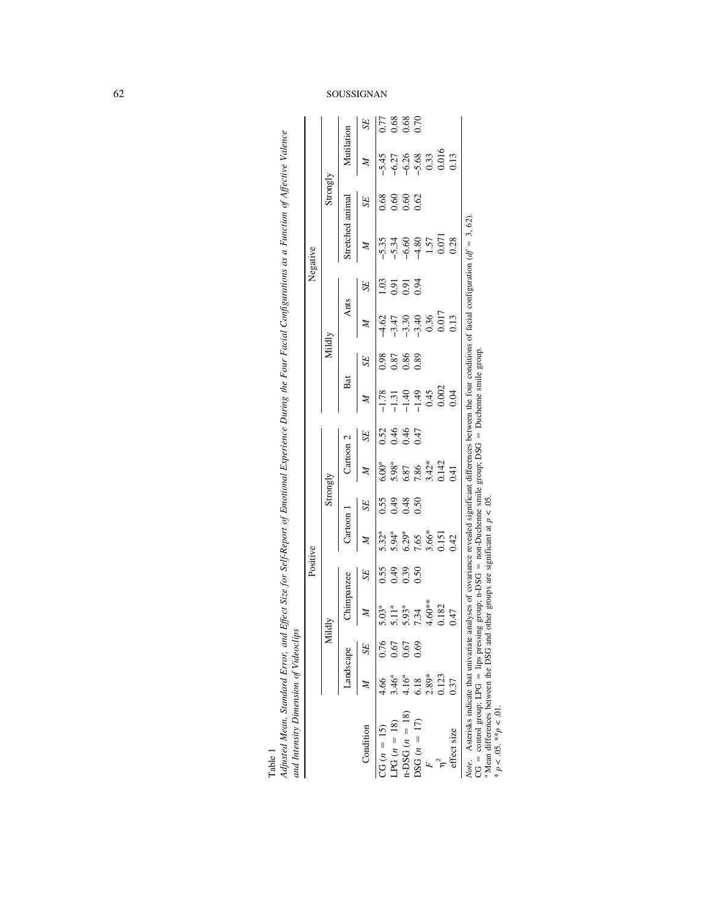|                                                                                                                                                                                                                                                                                                                                           |               |           |                   | Positive         |                                                       |                |                                                   |                            |                                                                                                                                                        |                      |                    |              | Negative                      |              |            |                            |
|-------------------------------------------------------------------------------------------------------------------------------------------------------------------------------------------------------------------------------------------------------------------------------------------------------------------------------------------|---------------|-----------|-------------------|------------------|-------------------------------------------------------|----------------|---------------------------------------------------|----------------------------|--------------------------------------------------------------------------------------------------------------------------------------------------------|----------------------|--------------------|--------------|-------------------------------|--------------|------------|----------------------------|
|                                                                                                                                                                                                                                                                                                                                           |               |           | Mildly            |                  |                                                       |                | Strongly                                          |                            |                                                                                                                                                        |                      | Mildly             |              |                               | Strongly     |            |                            |
|                                                                                                                                                                                                                                                                                                                                           |               | Landscape | Chimpanzee        |                  | Cartoon 1                                             |                |                                                   | Cartoon <sub>2</sub>       | Bat                                                                                                                                                    |                      | Ants               |              | Stretched animal              |              | Mutilation |                            |
| Condition                                                                                                                                                                                                                                                                                                                                 |               |           |                   | SE               |                                                       | SE             | Ź                                                 | SE                         |                                                                                                                                                        | SE                   |                    | SE           |                               | SE           | Z          | SE                         |
| $CG (n = 15)$                                                                                                                                                                                                                                                                                                                             | $\frac{6}{4}$ | 976       | $5.03^{a}$        | 0.55             |                                                       | 0.55           | $5.00^{\rm a}$                                    |                            | $-1.78$                                                                                                                                                | 0.98                 | $-4.62$            | $\ddot{0}$   | $-5.35$                       | 0.68         |            |                            |
| $PG (n = 18)$                                                                                                                                                                                                                                                                                                                             | $3.46^{a}$    | 1.67      | 5.11 <sup>a</sup> | $0.39$<br>$0.50$ | $5.32^a$<br>$5.94^a$<br>$7.65$<br>$3.66^*$<br>$3.151$ | $0.49$<br>0.50 |                                                   | $3.46$<br>$3.46$<br>$0.47$ | $-1.\overline{3}1$<br>$-1.\overline{4}9$<br>$-1.\overline{4}9$<br>$-1.\overline{4}9$<br>$-1.\overline{4}9$<br>$-1.\overline{4}9$<br>$-1.\overline{4}9$ | 0.87<br>0.86<br>0.89 |                    |              |                               | 3.60<br>0.62 |            | 0.78<br>0.68<br>0.0<br>0.7 |
| $n\text{-DSG} (n = 18)$                                                                                                                                                                                                                                                                                                                   |               | 0.67      | 5.93 <sup>a</sup> |                  |                                                       |                | $5.98a$<br>$6.87$<br>$7.86$<br>$3.42*$<br>$3.142$ |                            |                                                                                                                                                        |                      | $-3.30$<br>$-3.30$ | 5.53<br>2.54 | $-5.34$<br>$-6.60$<br>$+3.80$ |              |            |                            |
| $DSG (n = 17)$                                                                                                                                                                                                                                                                                                                            | 5.18          | .69       | 7.34              |                  |                                                       |                |                                                   |                            |                                                                                                                                                        |                      |                    |              |                               |              |            |                            |
|                                                                                                                                                                                                                                                                                                                                           | 2.89*         |           | $4.60**$          |                  |                                                       |                |                                                   |                            |                                                                                                                                                        |                      | 0.36<br>0.017      |              | $1.57$<br>0.071               |              |            |                            |
|                                                                                                                                                                                                                                                                                                                                           | 0.123         |           | 0.182             |                  |                                                       |                |                                                   |                            |                                                                                                                                                        |                      |                    |              |                               |              |            |                            |
| effect size                                                                                                                                                                                                                                                                                                                               | 137           |           | 147               |                  | 0.42                                                  |                | 0.41                                              |                            | 0.04                                                                                                                                                   |                      | 0.13               |              | 0.28                          |              |            |                            |
| Note. Asterisks indicate that univariate analyses of covariance revealed significant differences between the four conditions of facial configuration $df = 3$ , 62).<br>$CG = \text{control group}; LPG = lips \text{ pressing groups}; n\text{-DSG} = \text{non-Duchenne} \text{smile group}; DSG = \text{Duchenne} \text{smile group}.$ |               |           |                   |                  |                                                       |                |                                                   |                            |                                                                                                                                                        |                      |                    |              |                               |              |            |                            |

a\*

*p* < .05. \*\**p* < .01.

Mean differences between the DSG and other groups are significant at *p* < .05.

| e Four Facial<br>uring tr<br>ian co<br>$\mathcal{M}$ -Rer<br>641<br>Adjusted Mean, Standard Error, and Effect<br>and Intensity Dimension of Videoclips |
|--------------------------------------------------------------------------------------------------------------------------------------------------------|
|                                                                                                                                                        |
|                                                                                                                                                        |
|                                                                                                                                                        |
|                                                                                                                                                        |
| able 1                                                                                                                                                 |

62 SOUSSIGNAN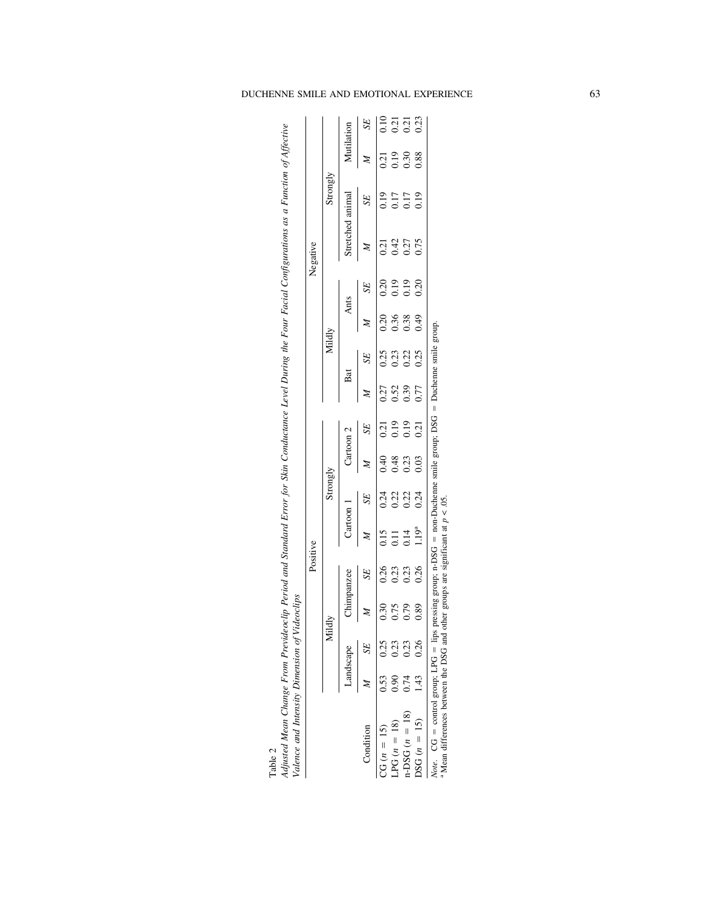|   | ī  |
|---|----|
| Ń |    |
|   | ì  |
| ≌ |    |
|   |    |
| ≏ | i, |
| ದ |    |
| ⊣ | ₹  |
|   |    |
|   |    |

Table 2<br>Adjusted Mean Change From Prevideoclip Period and Standard Error for Skin Conductance Level During the Four Facial Configurations as a Function of Affective<br>Valence and Intensity Dimension of Videoclips Adjusted Mean Change From Prevideoclip Period and Standard Error for Skin Conductance Level During the Four Facial Configurations as a Function of Affective *Valence and Intensity Dimension of Videoclips*

|                                                                                                                       |            |          |       |                  | Positive    |                |                      |                                                     |                         |                        |                    |                  | Negative         |                              |                                                     |                         |
|-----------------------------------------------------------------------------------------------------------------------|------------|----------|-------|------------------|-------------|----------------|----------------------|-----------------------------------------------------|-------------------------|------------------------|--------------------|------------------|------------------|------------------------------|-----------------------------------------------------|-------------------------|
|                                                                                                                       |            |          |       |                  |             | Strongly       |                      |                                                     |                         | Mildly                 |                    |                  |                  | Strongly                     |                                                     |                         |
|                                                                                                                       |            | andscape | Chimp | anzee            | $Cartoon$ 1 |                |                      | Cartoon <sub>2</sub>                                | Bat                     |                        |                    | Ants             |                  | stretched animal             |                                                     | Mutilation              |
| Condition                                                                                                             |            |          |       | SE               |             | SE             |                      | SE                                                  |                         |                        |                    | $S_{\rm E}$      |                  | SE                           |                                                     | SE                      |
| $2G (n = 15)$                                                                                                         | <b>153</b> | 0.25     | 0.30  | 0.26             | 0.15        | 24             |                      | 0.21                                                |                         | 0.25                   |                    | 0.20             |                  |                              | 0.21                                                |                         |
| $PG(n = 18)$                                                                                                          |            | 0.900003 | 0.75  | 0.23             | 11          | 0.22           | 0.48<br>0.43<br>0.03 |                                                     | 27<br>252<br>253<br>277 | $3.33$<br>0.21<br>0.25 | 0<br>0.389<br>0.00 | 0.19             | $0.21$<br>$0.42$ | 0.17<br>0.17<br>0.17<br>0.19 |                                                     | 0.<br>កំបូង<br>បី ប្អូន |
|                                                                                                                       |            |          |       | $0.23$<br>$0.26$ | $1.19^{a}$  | $0.22$<br>0.24 |                      | $\begin{array}{c} 0.19 \\ 0.19 \\ 0.21 \end{array}$ |                         |                        |                    | $0.19$<br>$0.20$ | 0.27<br>0.75     |                              | $\begin{array}{c} 0.19 \\ 0.30 \\ 0.88 \end{array}$ |                         |
| $n-DSG (n = 18)$ 0.74 0.23 0.79<br>DSG $(n = 15)$ 1.43 0.26 0.89                                                      |            |          |       |                  |             |                |                      |                                                     |                         |                        |                    |                  |                  |                              |                                                     |                         |
| Note. $CG = control group$ , LPG = lips pressing group; n-DSG = non-Duchenne smile group; DSG = Duchenne smile group. |            |          |       |                  |             |                |                      |                                                     |                         |                        |                    |                  |                  |                              |                                                     |                         |

<sup>a</sup> Mean differences between the DSG and other groups are significant at  $p < 0.05$ . <sup>a</sup> Mean differences between the DSG and other groups are significant at  $p < 0.05$ .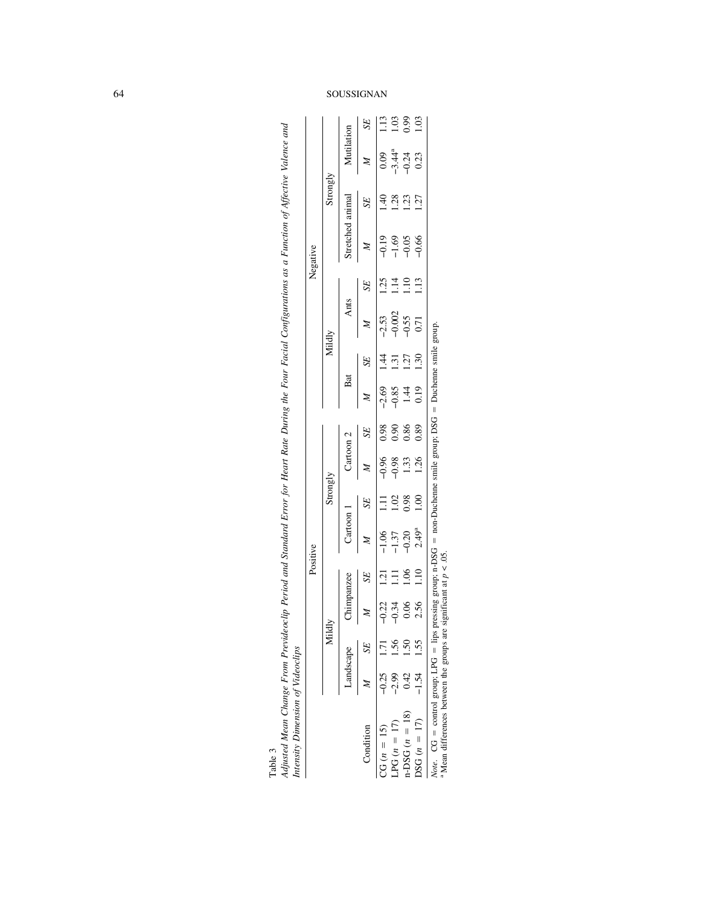| Intensity Dimension of Videoclips                                                                                                                                                                                      |                            |                |            |                  | Positive   |          |                      |      |         |      |                     |      | Negative         |               |                      |                                             |
|------------------------------------------------------------------------------------------------------------------------------------------------------------------------------------------------------------------------|----------------------------|----------------|------------|------------------|------------|----------|----------------------|------|---------|------|---------------------|------|------------------|---------------|----------------------|---------------------------------------------|
|                                                                                                                                                                                                                        |                            |                | Mildly     |                  |            | Strongly |                      |      |         |      | Mildly              |      |                  | Strongly      |                      |                                             |
|                                                                                                                                                                                                                        |                            | Landscape      | Chimpanzee |                  | Cartoon    |          | Cartoon <sub>2</sub> |      | Bat     |      | Ants                |      | Stretched animal |               | Mutilation           |                                             |
| Condition                                                                                                                                                                                                              | $\boldsymbol{\mathcal{A}}$ | SE <sub></sub> |            | SE               |            |          |                      | SE   |         | SE   |                     | SE   |                  | SE            |                      | SE                                          |
| $CG (n = 15)$                                                                                                                                                                                                          | $-0.25$                    | 1.71           | $-0.22$    | $\overline{131}$ | $-1.06$    | Ξ        | $-0.96$ 0.98         |      | $-2.69$ | 1.44 | $-2.53$             | 1.25 | $-0.19$          | $\frac{4}{1}$ | 0.09                 | 13                                          |
| $LPG (n = 17)$                                                                                                                                                                                                         | $-2.99$                    | 1.56           | $-0.34$    |                  | $-1.37$    | 1.02     | $-0.98$              | 0.90 | $-0.85$ | 131  |                     | 1.14 | $-1.69$          | 1.28          |                      |                                             |
| $n-DSG (n = 18)$                                                                                                                                                                                                       | 0.42                       | 1.50           | 0.06       | 1.06             | $-0.20$    | 0.98     | 1.33                 | 0.86 | 1.44    | 1.27 | $-0.002$<br>$-0.55$ | 1.10 | $-0.05$          | 1.23          | $-3.44^a$<br>$-0.24$ | $\begin{array}{c} 1.03 \\ 0.99 \end{array}$ |
| $DSG (n = 17)$                                                                                                                                                                                                         |                            | $-1.54$ 1.55   | 2.56       | 1.10             | $2.49^{a}$ | 0.1      | 1.26                 | 0.89 | 0.19    | 1.30 | 0.71                | 113  | $-0.66$          | 1.27          | 0.23                 | 1.03                                        |
| Note. CG = control group; LPG = lips pressing group; n-DSG = non-Duchenne smile group; DSG = Duchenne smile group.<br>a variation distribution is become the communication of the contract of the contract of $\alpha$ |                            |                |            |                  |            |          |                      |      |         |      |                     |      |                  |               |                      |                                             |

Mean differences between the groups are significant at  $p < 0.05$ . Mean differences between the groups are significant at *p* < .05.

64 SOUSSIGNAN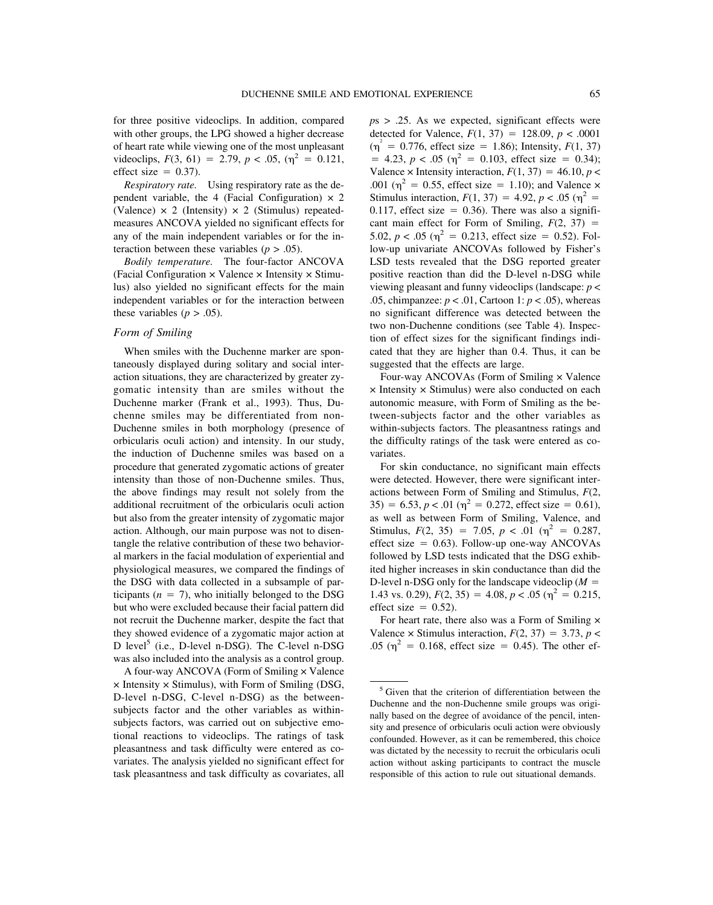for three positive videoclips. In addition, compared with other groups, the LPG showed a higher decrease of heart rate while viewing one of the most unpleasant videoclips,  $F(3, 61) = 2.79$ ,  $p < .05$ ,  $(\eta^2 = 0.121$ , effect size  $= 0.37$ ).

*Respiratory rate.* Using respiratory rate as the dependent variable, the 4 (Facial Configuration)  $\times$  2 (Valence)  $\times$  2 (Intensity)  $\times$  2 (Stimulus) repeatedmeasures ANCOVA yielded no significant effects for any of the main independent variables or for the interaction between these variables  $(p > .05)$ .

*Bodily temperature.* The four-factor ANCOVA (Facial Configuration  $\times$  Valence  $\times$  Intensity  $\times$  Stimulus) also yielded no significant effects for the main independent variables or for the interaction between these variables ( $p > .05$ ).

#### *Form of Smiling*

When smiles with the Duchenne marker are spontaneously displayed during solitary and social interaction situations, they are characterized by greater zygomatic intensity than are smiles without the Duchenne marker (Frank et al., 1993). Thus, Duchenne smiles may be differentiated from non-Duchenne smiles in both morphology (presence of orbicularis oculi action) and intensity. In our study, the induction of Duchenne smiles was based on a procedure that generated zygomatic actions of greater intensity than those of non-Duchenne smiles. Thus, the above findings may result not solely from the additional recruitment of the orbicularis oculi action but also from the greater intensity of zygomatic major action. Although, our main purpose was not to disentangle the relative contribution of these two behavioral markers in the facial modulation of experiential and physiological measures, we compared the findings of the DSG with data collected in a subsample of participants  $(n = 7)$ , who initially belonged to the DSG but who were excluded because their facial pattern did not recruit the Duchenne marker, despite the fact that they showed evidence of a zygomatic major action at D level<sup>5</sup> (i.e., D-level n-DSG). The C-level n-DSG was also included into the analysis as a control group.

A four-way ANCOVA (Form of Smiling × Valence  $\times$  Intensity  $\times$  Stimulus), with Form of Smiling (DSG, D-level n-DSG, C-level n-DSG) as the betweensubjects factor and the other variables as withinsubjects factors, was carried out on subjective emotional reactions to videoclips. The ratings of task pleasantness and task difficulty were entered as covariates. The analysis yielded no significant effect for task pleasantness and task difficulty as covariates, all *p*s > .25. As we expected, significant effects were detected for Valence,  $F(1, 37) = 128.09$ ,  $p < .0001$  $(\eta^2 = 0.776,$  effect size = 1.86); Intensity, *F*(1, 37)  $= 4.23, p < .05$  ( $\eta^2 = 0.103$ , effect size  $= 0.34$ ); Valence  $\times$  Intensity interaction,  $F(1, 37) = 46.10, p <$ .001 ( $\eta^2$  = 0.55, effect size = 1.10); and Valence  $\times$ Stimulus interaction,  $F(1, 37) = 4.92$ ,  $p < .05$  ( $\eta^2 =$ 0.117, effect size  $= 0.36$ ). There was also a significant main effect for Form of Smiling,  $F(2, 37) =$ 5.02,  $p < .05$  ( $\eta^2 = 0.213$ , effect size = 0.52). Follow-up univariate ANCOVAs followed by Fisher's LSD tests revealed that the DSG reported greater positive reaction than did the D-level n-DSG while viewing pleasant and funny videoclips (landscape: *p* < .05, chimpanzee: *p* < .01, Cartoon 1: *p* < .05), whereas no significant difference was detected between the two non-Duchenne conditions (see Table 4). Inspection of effect sizes for the significant findings indicated that they are higher than 0.4. Thus, it can be suggested that the effects are large.

Four-way ANCOVAs (Form of Smiling × Valence  $\times$  Intensity  $\times$  Stimulus) were also conducted on each autonomic measure, with Form of Smiling as the between-subjects factor and the other variables as within-subjects factors. The pleasantness ratings and the difficulty ratings of the task were entered as covariates.

For skin conductance, no significant main effects were detected. However, there were significant interactions between Form of Smiling and Stimulus, *F*(2,  $35$ ) = 6.53, *p* < .01 ( $\eta^2$  = 0.272, effect size = 0.61), as well as between Form of Smiling, Valence, and Stimulus,  $F(2, 35) = 7.05$ ,  $p < .01$  ( $p<sup>2</sup> = 0.287$ , effect size  $= 0.63$ ). Follow-up one-way ANCOVAs followed by LSD tests indicated that the DSG exhibited higher increases in skin conductance than did the D-level n-DSG only for the landscape videoclip (*M* 1.43 vs. 0.29),  $F(2, 35) = 4.08$ ,  $p < .05$  ( $\eta^2 = 0.215$ , effect size  $= 0.52$ ).

For heart rate, there also was a Form of Smiling  $\times$ Valence  $\times$  Stimulus interaction,  $F(2, 37) = 3.73$ ,  $p \lt \sqrt{ }$ .05 ( $\eta^2$  = 0.168, effect size = 0.45). The other ef-

<sup>5</sup> Given that the criterion of differentiation between the Duchenne and the non-Duchenne smile groups was originally based on the degree of avoidance of the pencil, intensity and presence of orbicularis oculi action were obviously confounded. However, as it can be remembered, this choice was dictated by the necessity to recruit the orbicularis oculi action without asking participants to contract the muscle responsible of this action to rule out situational demands.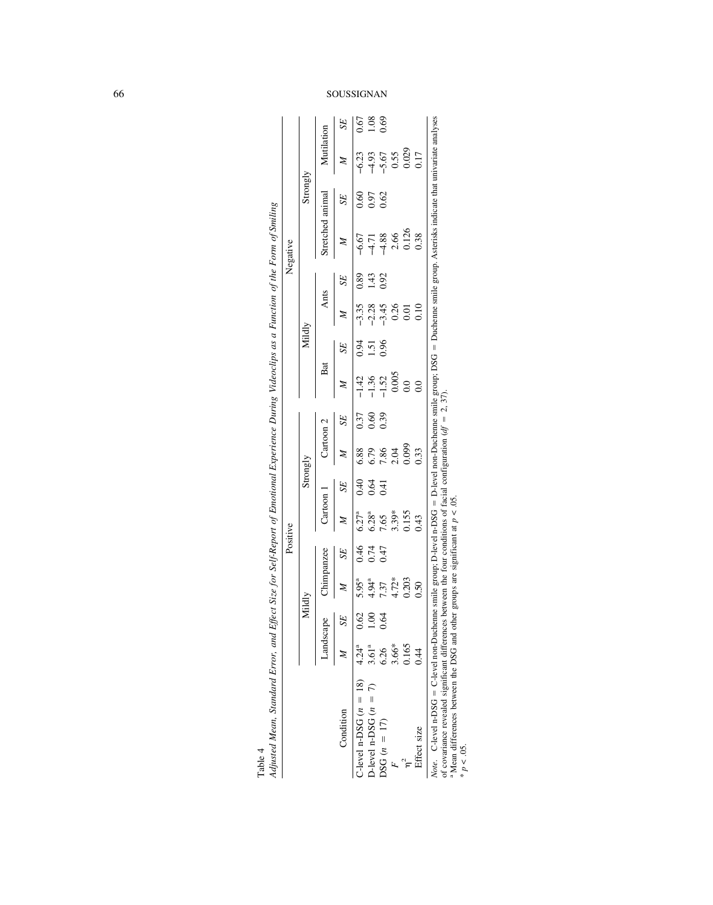|                                                                                                                                                                                                                                                                                         |                   |           |            |              | Positive          |          |                   |              |                  |        |                               |                | Negative         |          |                                                      |                  |
|-----------------------------------------------------------------------------------------------------------------------------------------------------------------------------------------------------------------------------------------------------------------------------------------|-------------------|-----------|------------|--------------|-------------------|----------|-------------------|--------------|------------------|--------|-------------------------------|----------------|------------------|----------|------------------------------------------------------|------------------|
|                                                                                                                                                                                                                                                                                         |                   |           | Mildly     |              |                   | Strongly |                   |              |                  | Mildly |                               |                |                  | Strongly |                                                      |                  |
|                                                                                                                                                                                                                                                                                         |                   | Landscape | Chimpanzee |              | Cartoon 1         |          | Cartoon 2         |              | Bat              |        | Ants                          |                | Stretched animal |          | Mutilation                                           |                  |
| Condition                                                                                                                                                                                                                                                                               |                   |           |            | SE           |                   | SE       |                   | SE           |                  | SE     |                               | SE             |                  | SE       |                                                      | SE               |
| C-level n-DSG $(n = 18)$                                                                                                                                                                                                                                                                | 4.24 <sup>a</sup> | 0.62      | $5.95^{a}$ | 0.46         | $6.27^{a}$        | 0.40     | 6.88              | .37          | $-1.42$          | 94     | $-3.35$                       | 0.89           | $-6.67$          | 0.60     | $-6.23$                                              |                  |
| D-level n-DSG $(n = 7)$                                                                                                                                                                                                                                                                 | $3.61^{a}$        | 1.00      | $.94^a$    |              | 6.28 <sup>a</sup> |          |                   | 0.60<br>0.39 |                  | 1.51   |                               | $\frac{43}{5}$ | $-4.71$          | 0.97     |                                                      | 63<br>189<br>161 |
| $DSG (n = 17)$                                                                                                                                                                                                                                                                          | 6.26              | 0.64      | 37         | 0.47<br>0.47 | 7.65              | 0.41     | 6.79<br>7.86      |              | $-1.36$<br>-1.52 | 0.96   | $-2.38$<br>$-3.45$<br>$-0.26$ | 0.92           | $-4.88$          |          | $4.93$<br>$-5.67$                                    |                  |
|                                                                                                                                                                                                                                                                                         | 3.66*             |           | $.72*$     |              |                   |          |                   |              | 0.005            |        |                               |                |                  |          |                                                      |                  |
|                                                                                                                                                                                                                                                                                         | 0.165             |           | 203        |              | $3.39*$<br>0.155  |          | $2.04$<br>$0.099$ |              | 0.0              |        | $\overline{0.0}$              |                | 2.66<br>0.126    |          | $\begin{array}{c} 0.55 \\ 0.029 \\ 0.17 \end{array}$ |                  |
| iffect size                                                                                                                                                                                                                                                                             | $\dot{4}$         |           |            |              | 0.43              |          | 0.33              |              | $\overline{0}$ . |        | 0.10                          |                | 0.38             |          |                                                      |                  |
| Note. C-level n-DSG = C-level non-Duchenne smile group; D-level n-DSG = D-level non-Duchenne smile group. Asteris in Asterisks indicate that univariate analyses<br>of covariance revealed significant differences between the four conditions of facial configuration $(df = 2, 37)$ . |                   |           |            |              |                   |          |                   |              |                  |        |                               |                |                  |          |                                                      |                  |

a Mean di<br>\* *p* < .05.

<sup>a</sup> Mean differences between the DSG and other groups are significant at  $p < 0.05$ .

| $\ddagger$<br>$\frac{1}{2}$<br>ć                                                                                                                                                                                                                                  |                         |
|-------------------------------------------------------------------------------------------------------------------------------------------------------------------------------------------------------------------------------------------------------------------|-------------------------|
| ֚֚֡<br>ļ<br>$ \omega$ and $-$<br>š<br>I<br>į<br><b>CONTACT</b><br>j<br>ļ<br><b>William</b><br>יש ש<br>awood 1<br><br>i                                                                                                                                            | $\frac{1}{2}$<br>.<br>م |
| <b>Contract Contract Contract Contract Contract Contract Contract Contract Contract Contract Contract Contract Contract Contract Contract Contract Contract Contract Contract Contract Contract Contract Contract Contract Contr</b><br>$\ddot{\phantom{0}}$<br>ļ |                         |

66 SOUSSIGNAN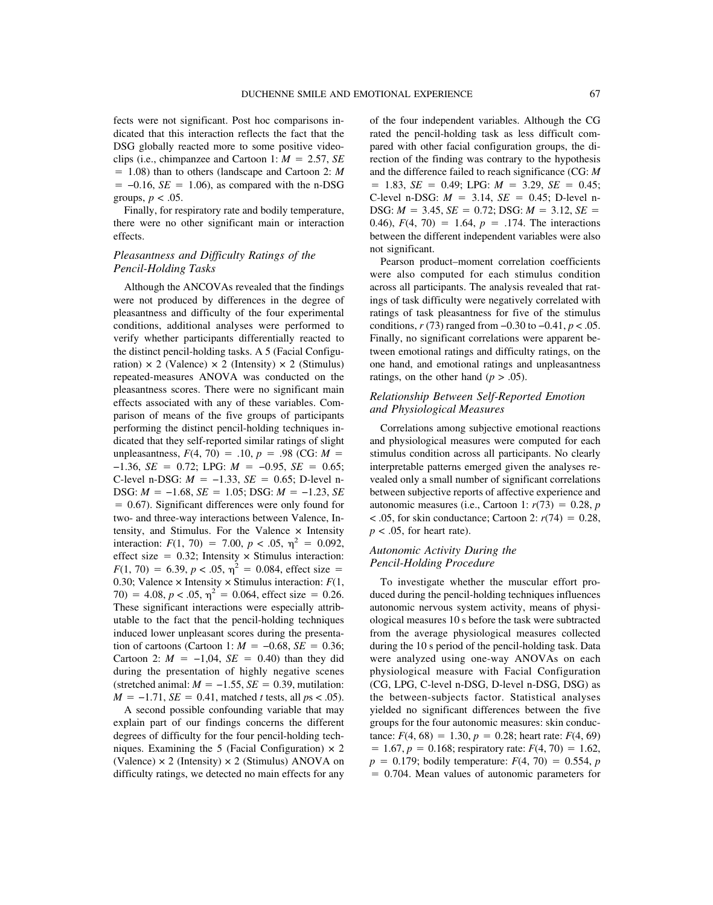fects were not significant. Post hoc comparisons indicated that this interaction reflects the fact that the DSG globally reacted more to some positive videoclips (i.e., chimpanzee and Cartoon 1:  $M = 2.57$ , *SE* 

 $= 1.08$ ) than to others (landscape and Cartoon 2: *M*  $= -0.16$ , *SE*  $= 1.06$ ), as compared with the n-DSG groups,  $p < .05$ .

Finally, for respiratory rate and bodily temperature, there were no other significant main or interaction effects.

# *Pleasantness and Difficulty Ratings of the Pencil-Holding Tasks*

Although the ANCOVAs revealed that the findings were not produced by differences in the degree of pleasantness and difficulty of the four experimental conditions, additional analyses were performed to verify whether participants differentially reacted to the distinct pencil-holding tasks. A 5 (Facial Configuration)  $\times$  2 (Valence)  $\times$  2 (Intensity)  $\times$  2 (Stimulus) repeated-measures ANOVA was conducted on the pleasantness scores. There were no significant main effects associated with any of these variables. Comparison of means of the five groups of participants performing the distinct pencil-holding techniques indicated that they self-reported similar ratings of slight unpleasantness,  $F(4, 70) = .10$ ,  $p = .98$  (CG:  $M =$  $-1.36$ , *SE* = 0.72; LPG:  $M = -0.95$ , *SE* = 0.65; C-level n-DSG:  $M = -1.33$ ,  $SE = 0.65$ ; D-level n-DSG:  $M = -1.68$ ,  $SE = 1.05$ ; DSG:  $M = -1.23$ , *SE*  $= 0.67$ ). Significant differences were only found for two- and three-way interactions between Valence, Intensity, and Stimulus. For the Valence  $\times$  Intensity interaction:  $F(1, 70) = 7.00, p < .05, \eta^2 = 0.092,$ effect size =  $0.32$ ; Intensity  $\times$  Stimulus interaction:  $F(1, 70) = 6.39, p < .05, \eta^2 = 0.084$ , effect size = 0.30; Valence  $\times$  Intensity  $\times$  Stimulus interaction:  $F(1, \cdot)$  $70) = 4.08, p < .05, \eta^2 = 0.064$ , effect size = 0.26. These significant interactions were especially attributable to the fact that the pencil-holding techniques induced lower unpleasant scores during the presentation of cartoons (Cartoon 1:  $M = -0.68$ ,  $SE = 0.36$ ; Cartoon 2:  $M = -1,04$ ,  $SE = 0.40$  than they did during the presentation of highly negative scenes (stretched animal:  $M = -1.55$ ,  $SE = 0.39$ , mutilation:  $M = -1.71$ , *SE* = 0.41, matched *t* tests, all *ps* < .05).

A second possible confounding variable that may explain part of our findings concerns the different degrees of difficulty for the four pencil-holding techniques. Examining the 5 (Facial Configuration)  $\times$  2 (Valence)  $\times$  2 (Intensity)  $\times$  2 (Stimulus) ANOVA on difficulty ratings, we detected no main effects for any

of the four independent variables. Although the CG rated the pencil-holding task as less difficult compared with other facial configuration groups, the direction of the finding was contrary to the hypothesis and the difference failed to reach significance (CG: *M*  $= 1.83$ , *SE* = 0.49; LPG: *M* = 3.29, *SE* = 0.45; C-level n-DSG:  $M = 3.14$ ,  $SE = 0.45$ ; D-level n- $DSG: M = 3.45, SE = 0.72; DSG: M = 3.12, SE =$ 0.46),  $F(4, 70) = 1.64$ ,  $p = .174$ . The interactions between the different independent variables were also not significant.

Pearson product–moment correlation coefficients were also computed for each stimulus condition across all participants. The analysis revealed that ratings of task difficulty were negatively correlated with ratings of task pleasantness for five of the stimulus conditions, *r* (73) ranged from −0.30 to −0.41, *p* < .05. Finally, no significant correlations were apparent between emotional ratings and difficulty ratings, on the one hand, and emotional ratings and unpleasantness ratings, on the other hand  $(p > .05)$ .

# *Relationship Between Self-Reported Emotion and Physiological Measures*

Correlations among subjective emotional reactions and physiological measures were computed for each stimulus condition across all participants. No clearly interpretable patterns emerged given the analyses revealed only a small number of significant correlations between subjective reports of affective experience and autonomic measures (i.e., Cartoon 1:  $r(73) = 0.28$ , *p*  $\epsilon$  .05, for skin conductance; Cartoon 2:  $r(74) = 0.28$ ,  $p < .05$ , for heart rate).

# *Autonomic Activity During the Pencil-Holding Procedure*

To investigate whether the muscular effort produced during the pencil-holding techniques influences autonomic nervous system activity, means of physiological measures 10 s before the task were subtracted from the average physiological measures collected during the 10 s period of the pencil-holding task. Data were analyzed using one-way ANOVAs on each physiological measure with Facial Configuration (CG, LPG, C-level n-DSG, D-level n-DSG, DSG) as the between-subjects factor. Statistical analyses yielded no significant differences between the five groups for the four autonomic measures: skin conductance:  $F(4, 68) = 1.30, p = 0.28$ ; heart rate:  $F(4, 69)$  $= 1.67, p = 0.168$ ; respiratory rate:  $F(4, 70) = 1.62$ ,  $p = 0.179$ ; bodily temperature:  $F(4, 70) = 0.554$ , *p*  $= 0.704$ . Mean values of autonomic parameters for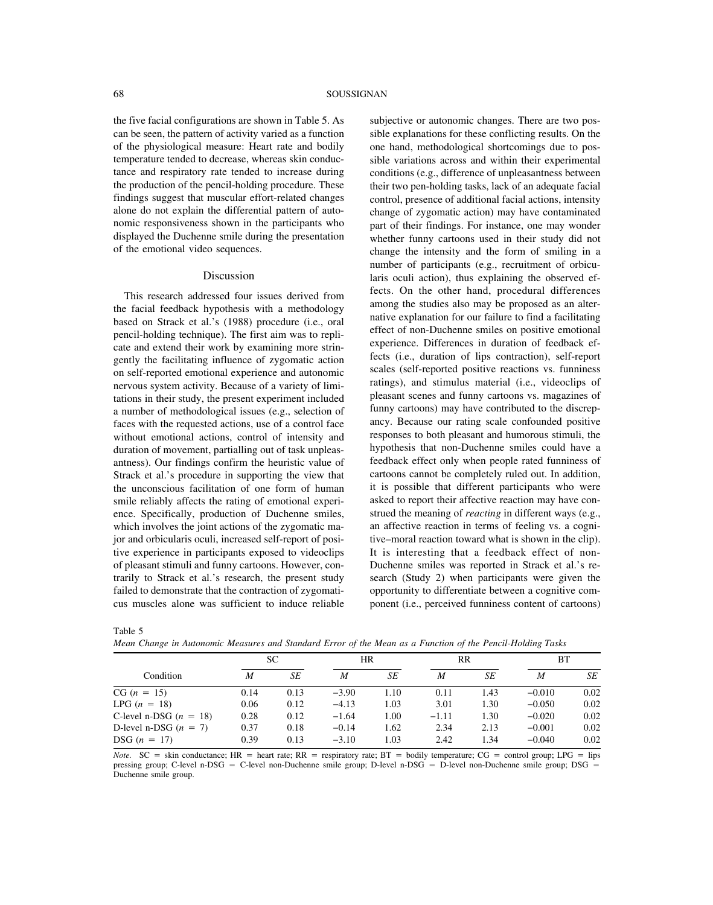the five facial configurations are shown in Table 5. As can be seen, the pattern of activity varied as a function of the physiological measure: Heart rate and bodily temperature tended to decrease, whereas skin conductance and respiratory rate tended to increase during the production of the pencil-holding procedure. These findings suggest that muscular effort-related changes alone do not explain the differential pattern of autonomic responsiveness shown in the participants who displayed the Duchenne smile during the presentation of the emotional video sequences.

#### Discussion

This research addressed four issues derived from the facial feedback hypothesis with a methodology based on Strack et al.'s (1988) procedure (i.e., oral pencil-holding technique). The first aim was to replicate and extend their work by examining more stringently the facilitating influence of zygomatic action on self-reported emotional experience and autonomic nervous system activity. Because of a variety of limitations in their study, the present experiment included a number of methodological issues (e.g., selection of faces with the requested actions, use of a control face without emotional actions, control of intensity and duration of movement, partialling out of task unpleasantness). Our findings confirm the heuristic value of Strack et al.'s procedure in supporting the view that the unconscious facilitation of one form of human smile reliably affects the rating of emotional experience. Specifically, production of Duchenne smiles, which involves the joint actions of the zygomatic major and orbicularis oculi, increased self-report of positive experience in participants exposed to videoclips of pleasant stimuli and funny cartoons. However, contrarily to Strack et al.'s research, the present study failed to demonstrate that the contraction of zygomaticus muscles alone was sufficient to induce reliable

subjective or autonomic changes. There are two possible explanations for these conflicting results. On the one hand, methodological shortcomings due to possible variations across and within their experimental conditions (e.g., difference of unpleasantness between their two pen-holding tasks, lack of an adequate facial control, presence of additional facial actions, intensity change of zygomatic action) may have contaminated part of their findings. For instance, one may wonder whether funny cartoons used in their study did not change the intensity and the form of smiling in a number of participants (e.g., recruitment of orbicularis oculi action), thus explaining the observed effects. On the other hand, procedural differences among the studies also may be proposed as an alternative explanation for our failure to find a facilitating effect of non-Duchenne smiles on positive emotional experience. Differences in duration of feedback effects (i.e., duration of lips contraction), self-report scales (self-reported positive reactions vs. funniness ratings), and stimulus material (i.e., videoclips of pleasant scenes and funny cartoons vs. magazines of funny cartoons) may have contributed to the discrepancy. Because our rating scale confounded positive responses to both pleasant and humorous stimuli, the hypothesis that non-Duchenne smiles could have a feedback effect only when people rated funniness of cartoons cannot be completely ruled out. In addition, it is possible that different participants who were asked to report their affective reaction may have construed the meaning of *reacting* in different ways (e.g., an affective reaction in terms of feeling vs. a cognitive–moral reaction toward what is shown in the clip). It is interesting that a feedback effect of non-Duchenne smiles was reported in Strack et al.'s research (Study 2) when participants were given the opportunity to differentiate between a cognitive component (i.e., perceived funniness content of cartoons)

Table 5

|                          |      | <b>SC</b> | HR.     |      | RR      |      | ВT       |      |
|--------------------------|------|-----------|---------|------|---------|------|----------|------|
| Condition                | M    | SE        | M       | SЕ   | M       | SЕ   | M        | SE   |
| $CG (n = 15)$            | 0.14 | 0.13      | $-3.90$ | 1.10 | 0.11    | 1.43 | $-0.010$ | 0.02 |
| LPG $(n = 18)$           | 0.06 | 0.12      | $-4.13$ | 1.03 | 3.01    | 1.30 | $-0.050$ | 0.02 |
| C-level n-DSG $(n = 18)$ | 0.28 | 0.12      | $-1.64$ | 1.00 | $-1.11$ | 1.30 | $-0.020$ | 0.02 |
| D-level n-DSG $(n = 7)$  | 0.37 | 0.18      | $-0.14$ | 1.62 | 2.34    | 2.13 | $-0.001$ | 0.02 |
| $DSG (n = 17)$           | 0.39 | 0.13      | $-3.10$ | 1.03 | 2.42    | 1.34 | $-0.040$ | 0.02 |

*Mean Change in Autonomic Measures and Standard Error of the Mean as a Function of the Pencil-Holding Tasks*

*Note.*  $SC =$  skin conductance; HR = heart rate; RR = respiratory rate; BT = bodily temperature;  $CG =$  control group; LPG = lips pressing group; C-level n-DSG = C-level non-Duchenne smile group; D-level n-DSG = D-level non-Duchenne smile group; DSG = Duchenne smile group.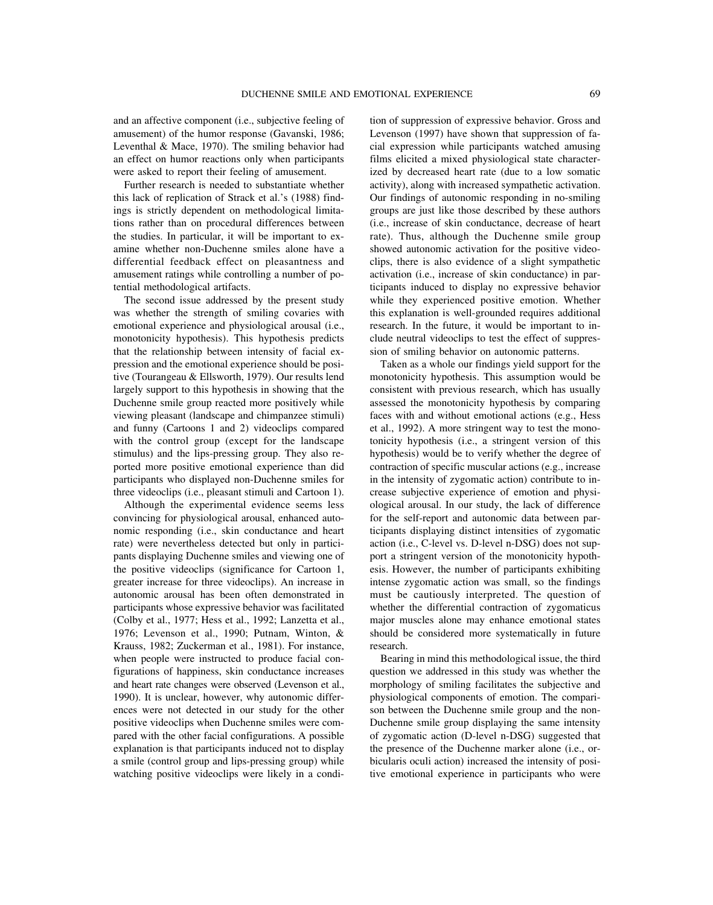and an affective component (i.e., subjective feeling of amusement) of the humor response (Gavanski, 1986; Leventhal & Mace, 1970). The smiling behavior had an effect on humor reactions only when participants were asked to report their feeling of amusement.

Further research is needed to substantiate whether this lack of replication of Strack et al.'s (1988) findings is strictly dependent on methodological limitations rather than on procedural differences between the studies. In particular, it will be important to examine whether non-Duchenne smiles alone have a differential feedback effect on pleasantness and amusement ratings while controlling a number of potential methodological artifacts.

The second issue addressed by the present study was whether the strength of smiling covaries with emotional experience and physiological arousal (i.e., monotonicity hypothesis). This hypothesis predicts that the relationship between intensity of facial expression and the emotional experience should be positive (Tourangeau & Ellsworth, 1979). Our results lend largely support to this hypothesis in showing that the Duchenne smile group reacted more positively while viewing pleasant (landscape and chimpanzee stimuli) and funny (Cartoons 1 and 2) videoclips compared with the control group (except for the landscape stimulus) and the lips-pressing group. They also reported more positive emotional experience than did participants who displayed non-Duchenne smiles for three videoclips (i.e., pleasant stimuli and Cartoon 1).

Although the experimental evidence seems less convincing for physiological arousal, enhanced autonomic responding (i.e., skin conductance and heart rate) were nevertheless detected but only in participants displaying Duchenne smiles and viewing one of the positive videoclips (significance for Cartoon 1, greater increase for three videoclips). An increase in autonomic arousal has been often demonstrated in participants whose expressive behavior was facilitated (Colby et al., 1977; Hess et al., 1992; Lanzetta et al., 1976; Levenson et al., 1990; Putnam, Winton, & Krauss, 1982; Zuckerman et al., 1981). For instance, when people were instructed to produce facial configurations of happiness, skin conductance increases and heart rate changes were observed (Levenson et al., 1990). It is unclear, however, why autonomic differences were not detected in our study for the other positive videoclips when Duchenne smiles were compared with the other facial configurations. A possible explanation is that participants induced not to display a smile (control group and lips-pressing group) while watching positive videoclips were likely in a condition of suppression of expressive behavior. Gross and Levenson (1997) have shown that suppression of facial expression while participants watched amusing films elicited a mixed physiological state characterized by decreased heart rate (due to a low somatic activity), along with increased sympathetic activation. Our findings of autonomic responding in no-smiling groups are just like those described by these authors (i.e., increase of skin conductance, decrease of heart rate). Thus, although the Duchenne smile group showed autonomic activation for the positive videoclips, there is also evidence of a slight sympathetic activation (i.e., increase of skin conductance) in participants induced to display no expressive behavior while they experienced positive emotion. Whether this explanation is well-grounded requires additional research. In the future, it would be important to include neutral videoclips to test the effect of suppression of smiling behavior on autonomic patterns.

Taken as a whole our findings yield support for the monotonicity hypothesis. This assumption would be consistent with previous research, which has usually assessed the monotonicity hypothesis by comparing faces with and without emotional actions (e.g., Hess et al., 1992). A more stringent way to test the monotonicity hypothesis (i.e., a stringent version of this hypothesis) would be to verify whether the degree of contraction of specific muscular actions (e.g., increase in the intensity of zygomatic action) contribute to increase subjective experience of emotion and physiological arousal. In our study, the lack of difference for the self-report and autonomic data between participants displaying distinct intensities of zygomatic action (i.e., C-level vs. D-level n-DSG) does not support a stringent version of the monotonicity hypothesis. However, the number of participants exhibiting intense zygomatic action was small, so the findings must be cautiously interpreted. The question of whether the differential contraction of zygomaticus major muscles alone may enhance emotional states should be considered more systematically in future research.

Bearing in mind this methodological issue, the third question we addressed in this study was whether the morphology of smiling facilitates the subjective and physiological components of emotion. The comparison between the Duchenne smile group and the non-Duchenne smile group displaying the same intensity of zygomatic action (D-level n-DSG) suggested that the presence of the Duchenne marker alone (i.e., orbicularis oculi action) increased the intensity of positive emotional experience in participants who were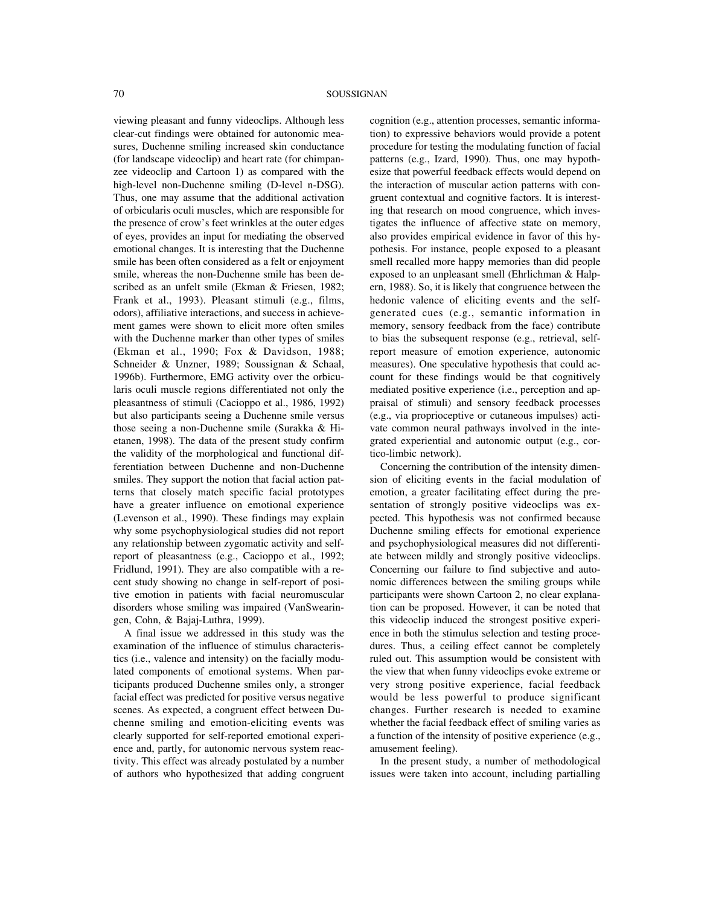viewing pleasant and funny videoclips. Although less clear-cut findings were obtained for autonomic measures, Duchenne smiling increased skin conductance (for landscape videoclip) and heart rate (for chimpanzee videoclip and Cartoon 1) as compared with the high-level non-Duchenne smiling (D-level n-DSG). Thus, one may assume that the additional activation of orbicularis oculi muscles, which are responsible for the presence of crow's feet wrinkles at the outer edges of eyes, provides an input for mediating the observed emotional changes. It is interesting that the Duchenne smile has been often considered as a felt or enjoyment smile, whereas the non-Duchenne smile has been described as an unfelt smile (Ekman & Friesen, 1982; Frank et al., 1993). Pleasant stimuli (e.g., films, odors), affiliative interactions, and success in achievement games were shown to elicit more often smiles with the Duchenne marker than other types of smiles (Ekman et al., 1990; Fox & Davidson, 1988; Schneider & Unzner, 1989; Soussignan & Schaal, 1996b). Furthermore, EMG activity over the orbicularis oculi muscle regions differentiated not only the pleasantness of stimuli (Cacioppo et al., 1986, 1992) but also participants seeing a Duchenne smile versus those seeing a non-Duchenne smile (Surakka & Hietanen, 1998). The data of the present study confirm the validity of the morphological and functional differentiation between Duchenne and non-Duchenne smiles. They support the notion that facial action patterns that closely match specific facial prototypes have a greater influence on emotional experience (Levenson et al., 1990). These findings may explain why some psychophysiological studies did not report any relationship between zygomatic activity and selfreport of pleasantness (e.g., Cacioppo et al., 1992; Fridlund, 1991). They are also compatible with a recent study showing no change in self-report of positive emotion in patients with facial neuromuscular disorders whose smiling was impaired (VanSwearingen, Cohn, & Bajaj-Luthra, 1999).

A final issue we addressed in this study was the examination of the influence of stimulus characteristics (i.e., valence and intensity) on the facially modulated components of emotional systems. When participants produced Duchenne smiles only, a stronger facial effect was predicted for positive versus negative scenes. As expected, a congruent effect between Duchenne smiling and emotion-eliciting events was clearly supported for self-reported emotional experience and, partly, for autonomic nervous system reactivity. This effect was already postulated by a number of authors who hypothesized that adding congruent cognition (e.g., attention processes, semantic information) to expressive behaviors would provide a potent procedure for testing the modulating function of facial patterns (e.g., Izard, 1990). Thus, one may hypothesize that powerful feedback effects would depend on the interaction of muscular action patterns with congruent contextual and cognitive factors. It is interesting that research on mood congruence, which investigates the influence of affective state on memory, also provides empirical evidence in favor of this hypothesis. For instance, people exposed to a pleasant smell recalled more happy memories than did people exposed to an unpleasant smell (Ehrlichman & Halpern, 1988). So, it is likely that congruence between the hedonic valence of eliciting events and the selfgenerated cues (e.g., semantic information in memory, sensory feedback from the face) contribute to bias the subsequent response (e.g., retrieval, selfreport measure of emotion experience, autonomic measures). One speculative hypothesis that could account for these findings would be that cognitively mediated positive experience (i.e., perception and appraisal of stimuli) and sensory feedback processes (e.g., via proprioceptive or cutaneous impulses) activate common neural pathways involved in the integrated experiential and autonomic output (e.g., cortico-limbic network).

Concerning the contribution of the intensity dimension of eliciting events in the facial modulation of emotion, a greater facilitating effect during the presentation of strongly positive videoclips was expected. This hypothesis was not confirmed because Duchenne smiling effects for emotional experience and psychophysiological measures did not differentiate between mildly and strongly positive videoclips. Concerning our failure to find subjective and autonomic differences between the smiling groups while participants were shown Cartoon 2, no clear explanation can be proposed. However, it can be noted that this videoclip induced the strongest positive experience in both the stimulus selection and testing procedures. Thus, a ceiling effect cannot be completely ruled out. This assumption would be consistent with the view that when funny videoclips evoke extreme or very strong positive experience, facial feedback would be less powerful to produce significant changes. Further research is needed to examine whether the facial feedback effect of smiling varies as a function of the intensity of positive experience (e.g., amusement feeling).

In the present study, a number of methodological issues were taken into account, including partialling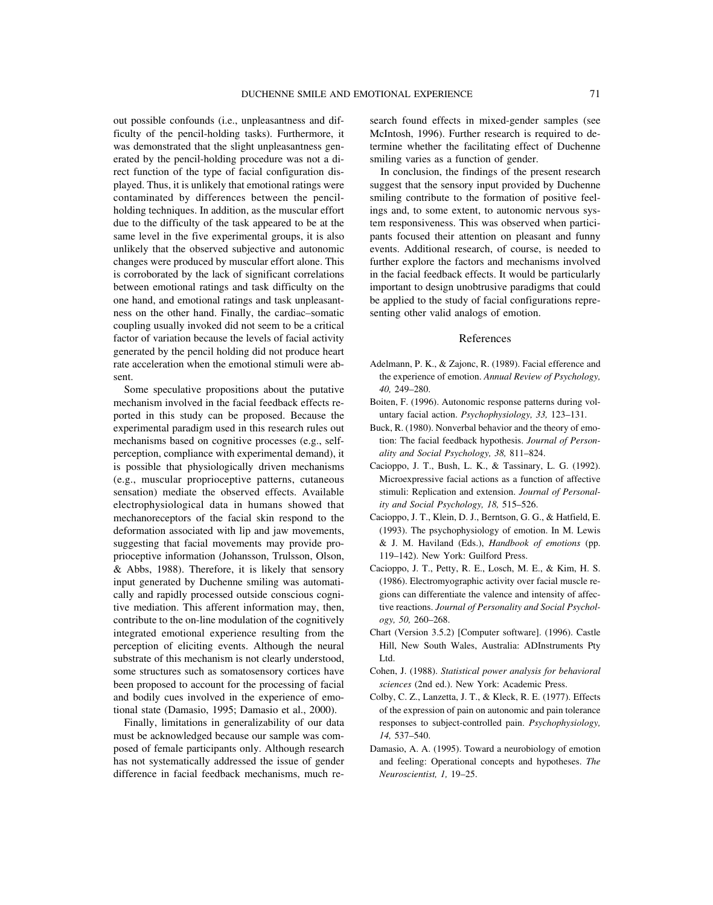out possible confounds (i.e., unpleasantness and difficulty of the pencil-holding tasks). Furthermore, it was demonstrated that the slight unpleasantness generated by the pencil-holding procedure was not a direct function of the type of facial configuration displayed. Thus, it is unlikely that emotional ratings were contaminated by differences between the pencilholding techniques. In addition, as the muscular effort due to the difficulty of the task appeared to be at the same level in the five experimental groups, it is also unlikely that the observed subjective and autonomic changes were produced by muscular effort alone. This is corroborated by the lack of significant correlations between emotional ratings and task difficulty on the one hand, and emotional ratings and task unpleasantness on the other hand. Finally, the cardiac–somatic coupling usually invoked did not seem to be a critical factor of variation because the levels of facial activity generated by the pencil holding did not produce heart rate acceleration when the emotional stimuli were absent.

Some speculative propositions about the putative mechanism involved in the facial feedback effects reported in this study can be proposed. Because the experimental paradigm used in this research rules out mechanisms based on cognitive processes (e.g., selfperception, compliance with experimental demand), it is possible that physiologically driven mechanisms (e.g., muscular proprioceptive patterns, cutaneous sensation) mediate the observed effects. Available electrophysiological data in humans showed that mechanoreceptors of the facial skin respond to the deformation associated with lip and jaw movements, suggesting that facial movements may provide proprioceptive information (Johansson, Trulsson, Olson, & Abbs, 1988). Therefore, it is likely that sensory input generated by Duchenne smiling was automatically and rapidly processed outside conscious cognitive mediation. This afferent information may, then, contribute to the on-line modulation of the cognitively integrated emotional experience resulting from the perception of eliciting events. Although the neural substrate of this mechanism is not clearly understood, some structures such as somatosensory cortices have been proposed to account for the processing of facial and bodily cues involved in the experience of emotional state (Damasio, 1995; Damasio et al., 2000).

Finally, limitations in generalizability of our data must be acknowledged because our sample was composed of female participants only. Although research has not systematically addressed the issue of gender difference in facial feedback mechanisms, much research found effects in mixed-gender samples (see McIntosh, 1996). Further research is required to determine whether the facilitating effect of Duchenne smiling varies as a function of gender.

In conclusion, the findings of the present research suggest that the sensory input provided by Duchenne smiling contribute to the formation of positive feelings and, to some extent, to autonomic nervous system responsiveness. This was observed when participants focused their attention on pleasant and funny events. Additional research, of course, is needed to further explore the factors and mechanisms involved in the facial feedback effects. It would be particularly important to design unobtrusive paradigms that could be applied to the study of facial configurations representing other valid analogs of emotion.

#### References

- Adelmann, P. K., & Zajonc, R. (1989). Facial efference and the experience of emotion. *Annual Review of Psychology, 40,* 249–280.
- Boiten, F. (1996). Autonomic response patterns during voluntary facial action. *Psychophysiology, 33,* 123–131.
- Buck, R. (1980). Nonverbal behavior and the theory of emotion: The facial feedback hypothesis. *Journal of Personality and Social Psychology, 38,* 811–824.
- Cacioppo, J. T., Bush, L. K., & Tassinary, L. G. (1992). Microexpressive facial actions as a function of affective stimuli: Replication and extension. *Journal of Personality and Social Psychology, 18,* 515–526.
- Cacioppo, J. T., Klein, D. J., Berntson, G. G., & Hatfield, E. (1993). The psychophysiology of emotion. In M. Lewis & J. M. Haviland (Eds.), *Handbook of emotions* (pp. 119–142). New York: Guilford Press.
- Cacioppo, J. T., Petty, R. E., Losch, M. E., & Kim, H. S. (1986). Electromyographic activity over facial muscle regions can differentiate the valence and intensity of affective reactions. *Journal of Personality and Social Psychology, 50,* 260–268.
- Chart (Version 3.5.2) [Computer software]. (1996). Castle Hill, New South Wales, Australia: ADInstruments Pty Ltd.
- Cohen, J. (1988). *Statistical power analysis for behavioral sciences* (2nd ed.). New York: Academic Press.
- Colby, C. Z., Lanzetta, J. T., & Kleck, R. E. (1977). Effects of the expression of pain on autonomic and pain tolerance responses to subject-controlled pain. *Psychophysiology, 14,* 537–540.
- Damasio, A. A. (1995). Toward a neurobiology of emotion and feeling: Operational concepts and hypotheses. *The Neuroscientist, 1,* 19–25.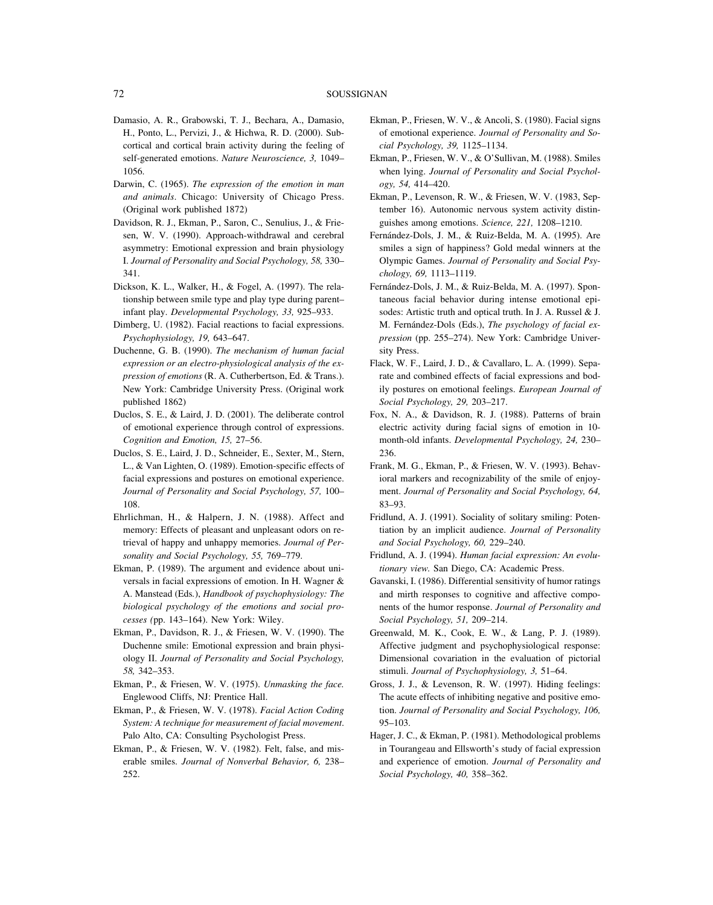- Damasio, A. R., Grabowski, T. J., Bechara, A., Damasio, H., Ponto, L., Pervizi, J., & Hichwa, R. D. (2000). Subcortical and cortical brain activity during the feeling of self-generated emotions. *Nature Neuroscience, 3,* 1049– 1056.
- Darwin, C. (1965). *The expression of the emotion in man and animals*. Chicago: University of Chicago Press. (Original work published 1872)
- Davidson, R. J., Ekman, P., Saron, C., Senulius, J., & Friesen, W. V. (1990). Approach-withdrawal and cerebral asymmetry: Emotional expression and brain physiology I. *Journal of Personality and Social Psychology, 58,* 330– 341.
- Dickson, K. L., Walker, H., & Fogel, A. (1997). The relationship between smile type and play type during parent– infant play. *Developmental Psychology, 33,* 925–933.
- Dimberg, U. (1982). Facial reactions to facial expressions. *Psychophysiology, 19,* 643–647.
- Duchenne, G. B. (1990). *The mechanism of human facial expression or an electro-physiological analysis of the expression of emotions* (R. A. Cutherbertson, Ed. & Trans.). New York: Cambridge University Press. (Original work published 1862)
- Duclos, S. E., & Laird, J. D. (2001). The deliberate control of emotional experience through control of expressions. *Cognition and Emotion, 15,* 27–56.
- Duclos, S. E., Laird, J. D., Schneider, E., Sexter, M., Stern, L., & Van Lighten, O. (1989). Emotion-specific effects of facial expressions and postures on emotional experience. *Journal of Personality and Social Psychology, 57,* 100– 108.
- Ehrlichman, H., & Halpern, J. N. (1988). Affect and memory: Effects of pleasant and unpleasant odors on retrieval of happy and unhappy memories. *Journal of Personality and Social Psychology, 55,* 769–779.
- Ekman, P. (1989). The argument and evidence about universals in facial expressions of emotion. In H. Wagner & A. Manstead (Eds*.*), *Handbook of psychophysiology: The biological psychology of the emotions and social processes (*pp. 143–164). New York: Wiley.
- Ekman, P., Davidson, R. J., & Friesen, W. V. (1990). The Duchenne smile: Emotional expression and brain physiology II. *Journal of Personality and Social Psychology, 58,* 342–353.
- Ekman, P., & Friesen, W. V. (1975). *Unmasking the face.* Englewood Cliffs, NJ: Prentice Hall.
- Ekman, P., & Friesen, W. V. (1978). *Facial Action Coding System: A technique for measurement of facial movement*. Palo Alto, CA: Consulting Psychologist Press.
- Ekman, P., & Friesen, W. V. (1982). Felt, false, and miserable smiles. *Journal of Nonverbal Behavior, 6,* 238– 252.
- Ekman, P., Friesen, W. V., & Ancoli, S. (1980). Facial signs of emotional experience. *Journal of Personality and Social Psychology, 39,* 1125–1134.
- Ekman, P., Friesen, W. V., & O'Sullivan, M. (1988). Smiles when lying. *Journal of Personality and Social Psychology, 54,* 414–420.
- Ekman, P., Levenson, R. W., & Friesen, W. V. (1983, September 16). Autonomic nervous system activity distinguishes among emotions. *Science, 221,* 1208–1210.
- Fernández-Dols, J. M., & Ruiz-Belda, M. A. (1995). Are smiles a sign of happiness? Gold medal winners at the Olympic Games. *Journal of Personality and Social Psychology, 69,* 1113–1119.
- Fernández-Dols, J. M., & Ruiz-Belda, M. A. (1997). Spontaneous facial behavior during intense emotional episodes: Artistic truth and optical truth. In J. A. Russel & J. M. Fernández-Dols (Eds.), *The psychology of facial expression* (pp. 255–274). New York: Cambridge University Press.
- Flack, W. F., Laird, J. D., & Cavallaro, L. A. (1999). Separate and combined effects of facial expressions and bodily postures on emotional feelings. *European Journal of Social Psychology, 29,* 203–217.
- Fox, N. A., & Davidson, R. J. (1988). Patterns of brain electric activity during facial signs of emotion in 10 month-old infants. *Developmental Psychology, 24,* 230– 236.
- Frank, M. G., Ekman, P., & Friesen, W. V. (1993). Behavioral markers and recognizability of the smile of enjoyment. *Journal of Personality and Social Psychology, 64,* 83–93.
- Fridlund, A. J. (1991). Sociality of solitary smiling: Potentiation by an implicit audience. *Journal of Personality and Social Psychology, 60,* 229–240.
- Fridlund, A. J. (1994). *Human facial expression: An evolutionary view.* San Diego, CA: Academic Press.
- Gavanski, I. (1986). Differential sensitivity of humor ratings and mirth responses to cognitive and affective components of the humor response. *Journal of Personality and Social Psychology, 51,* 209–214.
- Greenwald, M. K., Cook, E. W., & Lang, P. J. (1989). Affective judgment and psychophysiological response: Dimensional covariation in the evaluation of pictorial stimuli. *Journal of Psychophysiology, 3,* 51–64.
- Gross, J. J., & Levenson, R. W. (1997). Hiding feelings: The acute effects of inhibiting negative and positive emotion. *Journal of Personality and Social Psychology, 106,* 95–103.
- Hager, J. C., & Ekman, P. (1981). Methodological problems in Tourangeau and Ellsworth's study of facial expression and experience of emotion. *Journal of Personality and Social Psychology, 40,* 358–362.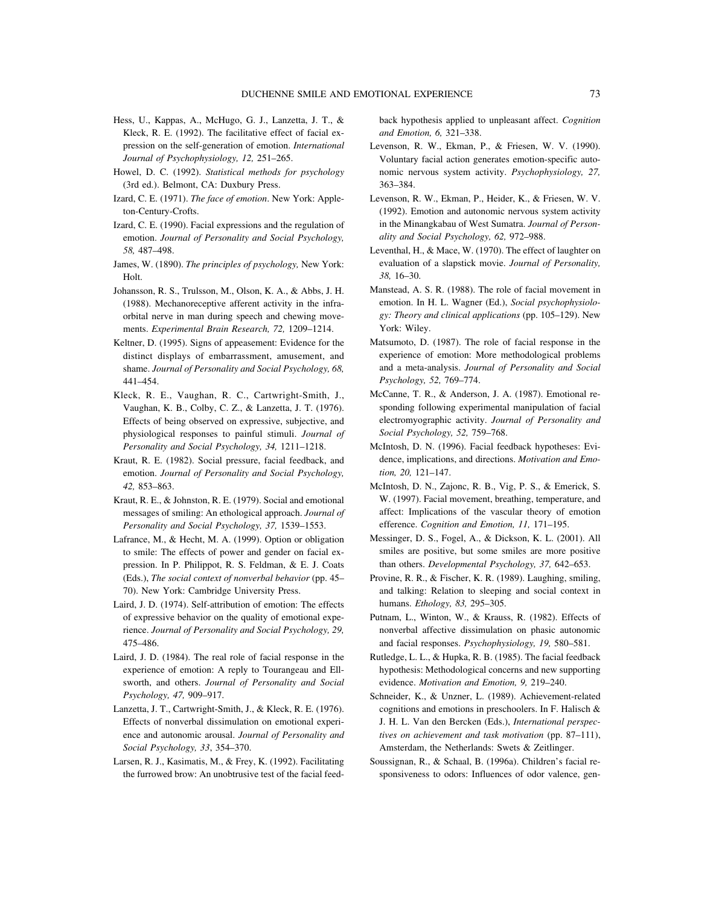- Hess, U., Kappas, A., McHugo, G. J., Lanzetta, J. T., & Kleck, R. E. (1992). The facilitative effect of facial expression on the self-generation of emotion. *International Journal of Psychophysiology, 12,* 251–265.
- Howel, D. C. (1992). *Statistical methods for psychology* (3rd ed.). Belmont, CA: Duxbury Press.
- Izard, C. E. (1971). *The face of emotion*. New York: Appleton-Century-Crofts.
- Izard, C. E. (1990). Facial expressions and the regulation of emotion. *Journal of Personality and Social Psychology, 58,* 487–498.
- James, W. (1890). *The principles of psychology,* New York: Holt.
- Johansson, R. S., Trulsson, M., Olson, K. A., & Abbs, J. H. (1988). Mechanoreceptive afferent activity in the infraorbital nerve in man during speech and chewing movements. *Experimental Brain Research, 72,* 1209–1214.
- Keltner, D. (1995). Signs of appeasement: Evidence for the distinct displays of embarrassment, amusement, and shame. *Journal of Personality and Social Psychology, 68,* 441–454.
- Kleck, R. E., Vaughan, R. C., Cartwright-Smith, J., Vaughan, K. B., Colby, C. Z., & Lanzetta, J. T. (1976). Effects of being observed on expressive, subjective, and physiological responses to painful stimuli. *Journal of Personality and Social Psychology, 34,* 1211–1218.
- Kraut, R. E. (1982). Social pressure, facial feedback, and emotion. *Journal of Personality and Social Psychology, 42,* 853–863.
- Kraut, R. E., & Johnston, R. E. (1979). Social and emotional messages of smiling: An ethological approach. *Journal of Personality and Social Psychology, 37,* 1539–1553.
- Lafrance, M., & Hecht, M. A. (1999). Option or obligation to smile: The effects of power and gender on facial expression. In P. Philippot, R. S. Feldman, & E. J. Coats (Eds.), *The social context of nonverbal behavior* (pp. 45– 70). New York: Cambridge University Press.
- Laird, J. D. (1974). Self-attribution of emotion: The effects of expressive behavior on the quality of emotional experience. *Journal of Personality and Social Psychology, 29,* 475–486.
- Laird, J. D. (1984). The real role of facial response in the experience of emotion: A reply to Tourangeau and Ellsworth, and others. *Journal of Personality and Social Psychology, 47,* 909–917.
- Lanzetta, J. T., Cartwright-Smith, J., & Kleck, R. E. (1976). Effects of nonverbal dissimulation on emotional experience and autonomic arousal. *Journal of Personality and Social Psychology, 33*, 354–370.
- Larsen, R. J., Kasimatis, M., & Frey, K. (1992). Facilitating the furrowed brow: An unobtrusive test of the facial feed-

back hypothesis applied to unpleasant affect. *Cognition and Emotion, 6,* 321–338.

- Levenson, R. W., Ekman, P., & Friesen, W. V. (1990). Voluntary facial action generates emotion-specific autonomic nervous system activity. *Psychophysiology, 27,* 363–384.
- Levenson, R. W., Ekman, P., Heider, K., & Friesen, W. V. (1992). Emotion and autonomic nervous system activity in the Minangkabau of West Sumatra. *Journal of Personality and Social Psychology, 62,* 972–988.
- Leventhal, H., & Mace, W. (1970). The effect of laughter on evaluation of a slapstick movie. *Journal of Personality, 38,* 16–30.
- Manstead, A. S. R. (1988). The role of facial movement in emotion. In H. L. Wagner (Ed.), *Social psychophysiology: Theory and clinical applications* (pp. 105–129). New York: Wiley.
- Matsumoto, D. (1987). The role of facial response in the experience of emotion: More methodological problems and a meta-analysis. *Journal of Personality and Social Psychology, 52,* 769–774.
- McCanne, T. R., & Anderson, J. A. (1987). Emotional responding following experimental manipulation of facial electromyographic activity. *Journal of Personality and Social Psychology, 52,* 759–768.
- McIntosh, D. N. (1996). Facial feedback hypotheses: Evidence, implications, and directions. *Motivation and Emotion, 20,* 121–147.
- McIntosh, D. N., Zajonc, R. B., Vig, P. S., & Emerick, S. W. (1997). Facial movement, breathing, temperature, and affect: Implications of the vascular theory of emotion efference. *Cognition and Emotion, 11,* 171–195.
- Messinger, D. S., Fogel, A., & Dickson, K. L. (2001). All smiles are positive, but some smiles are more positive than others. *Developmental Psychology, 37,* 642–653.
- Provine, R. R., & Fischer, K. R. (1989). Laughing, smiling, and talking: Relation to sleeping and social context in humans. *Ethology, 83,* 295–305.
- Putnam, L., Winton, W., & Krauss, R. (1982). Effects of nonverbal affective dissimulation on phasic autonomic and facial responses. *Psychophysiology, 19,* 580–581.
- Rutledge, L. L., & Hupka, R. B. (1985). The facial feedback hypothesis: Methodological concerns and new supporting evidence. *Motivation and Emotion, 9,* 219–240.
- Schneider, K., & Unzner, L. (1989). Achievement-related cognitions and emotions in preschoolers. In F. Halisch & J. H. L. Van den Bercken (Eds.), *International perspectives on achievement and task motivation* (pp. 87–111), Amsterdam, the Netherlands: Swets & Zeitlinger.
- Soussignan, R., & Schaal, B. (1996a). Children's facial responsiveness to odors: Influences of odor valence, gen-